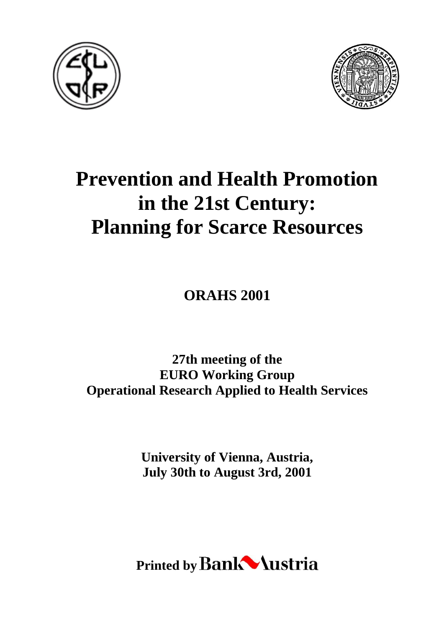



# **Prevention and Health Promotion in the 21st Century: Planning for Scarce Resources**

**ORAHS 2001**

**27th meeting of the EURO Working Group Operational Research Applied to Health Services**

> **University of Vienna, Austria, July 30th to August 3rd, 2001**

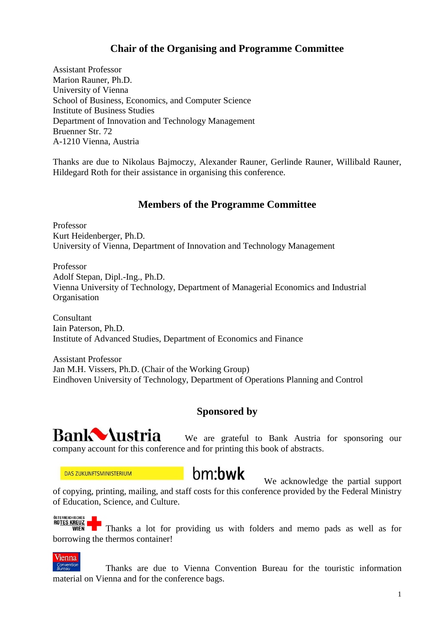## **Chair of the Organising and Programme Committee**

Assistant Professor Marion Rauner, Ph.D. University of Vienna School of Business, Economics, and Computer Science Institute of Business Studies Department of Innovation and Technology Management Bruenner Str. 72 A-1210 Vienna, Austria

Thanks are due to Nikolaus Bajmoczy, Alexander Rauner, Gerlinde Rauner, Willibald Rauner, Hildegard Roth for their assistance in organising this conference.

### **Members of the Programme Committee**

Professor Kurt Heidenberger, Ph.D. University of Vienna, Department of Innovation and Technology Management

Professor Adolf Stepan, Dipl.-Ing., Ph.D. Vienna University of Technology, Department of Managerial Economics and Industrial **Organisation** 

Consultant Iain Paterson, Ph.D. Institute of Advanced Studies, Department of Economics and Finance

Assistant Professor Jan M.H. Vissers, Ph.D. (Chair of the Working Group) Eindhoven University of Technology, Department of Operations Planning and Control

#### **Sponsored by**



We are grateful to Bank Austria for sponsoring our company account for this conference and for printing this book of abstracts.

**DAS ZUKUNFTSMINISTERIUM** 

# bm:bwk

We acknowledge the partial support of copying, printing, mailing, and staff costs for this conference provided by the Federal Ministry of Education, Science, and Culture.

ÖSTERREICHISCHES **ROTES KREUZ** 

 $\frac{1}{\sqrt{2}}$  Thanks a lot for providing us with folders and memo pads as well as for borrowing the thermos container!

**Vienna** Convention<br>Bureau

Thanks are due to Vienna Convention Bureau for the touristic information material on Vienna and for the conference bags.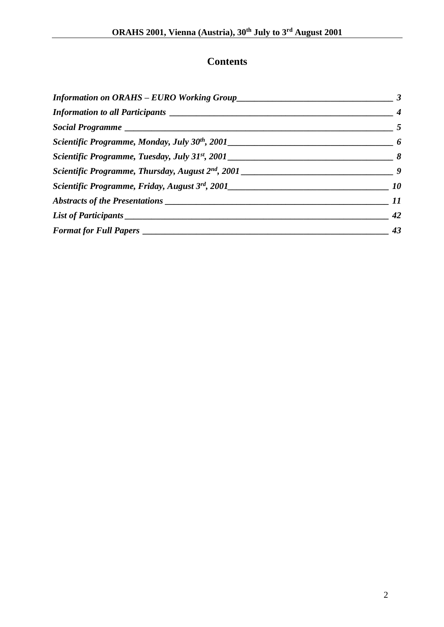## **Contents**

| Information on ORAHS - EURO Working Group                                        |                             |
|----------------------------------------------------------------------------------|-----------------------------|
|                                                                                  | $\boldsymbol{4}$            |
|                                                                                  | $\overline{5}$              |
|                                                                                  | $\overline{\boldsymbol{6}}$ |
|                                                                                  |                             |
|                                                                                  |                             |
| Scientific Programme, Friday, August 3rd, 2001__________________________________ | 10                          |
|                                                                                  | 11                          |
| List of Participants                                                             | 42                          |
| Format for Full Papers ___________                                               | 43                          |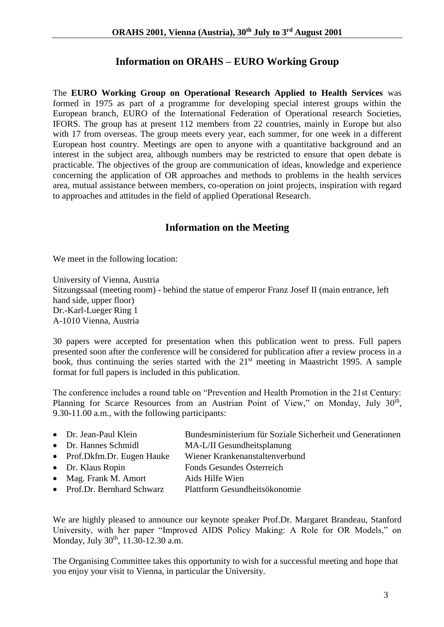### **Information on ORAHS – EURO Working Group**

The **EURO Working Group on Operational Research Applied to Health Services** was formed in 1975 as part of a programme for developing special interest groups within the European branch, EURO of the International Federation of Operational research Societies, IFORS. The group has at present 112 members from 22 countries, mainly in Europe but also with 17 from overseas. The group meets every year, each summer, for one week in a different European host country. Meetings are open to anyone with a quantitative background and an interest in the subject area, although numbers may be restricted to ensure that open debate is practicable. The objectives of the group are communication of ideas, knowledge and experience concerning the application of OR approaches and methods to problems in the health services area, mutual assistance between members, co-operation on joint projects, inspiration with regard to approaches and attitudes in the field of applied Operational Research.

## **Information on the Meeting**

We meet in the following location:

University of Vienna, Austria Sitzungssaal (meeting room) - behind the statue of emperor Franz Josef II (main entrance, left hand side, upper floor) Dr.-Karl-Lueger Ring 1 A-1010 Vienna, Austria

30 papers were accepted for presentation when this publication went to press. Full papers presented soon after the conference will be considered for publication after a review process in a book, thus continuing the series started with the 21<sup>st</sup> meeting in Maastricht 1995. A sample format for full papers is included in this publication.

The conference includes a round table on "Prevention and Health Promotion in the 21st Century: Planning for Scarce Resources from an Austrian Point of View," on Monday, July 30<sup>th</sup>, 9.30-11.00 a.m., with the following participants:

| • Dr. Jean-Paul Klein       | Bundesministerium für Soziale Sicherheit und Generationen |
|-----------------------------|-----------------------------------------------------------|
| • Dr. Hannes Schmidl        | MA-L/II Gesundheitsplanung                                |
| • Prof.Dkfm.Dr. Eugen Hauke | Wiener Krankenanstaltenverbund                            |
| • Dr. Klaus Ropin           | Fonds Gesundes Österreich                                 |
| • Mag. Frank M. Amort       | Aids Hilfe Wien                                           |
| • Prof.Dr. Bernhard Schwarz | Plattform Gesundheitsökonomie                             |
|                             |                                                           |

We are highly pleased to announce our keynote speaker Prof.Dr. Margaret Brandeau, Stanford University, with her paper "Improved AIDS Policy Making: A Role for OR Models," on Monday, July 30<sup>th</sup>, 11.30-12.30 a.m.

The Organising Committee takes this opportunity to wish for a successful meeting and hope that you enjoy your visit to Vienna, in particular the University.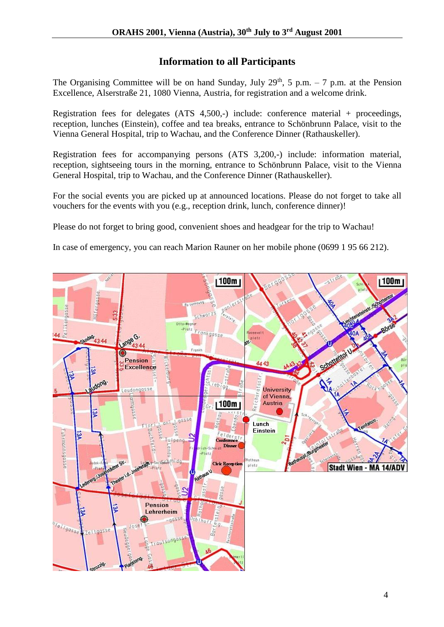## **Information to all Participants**

The Organising Committee will be on hand Sunday, July 29<sup>th</sup>, 5 p.m. – 7 p.m. at the Pension Excellence, Alserstraße 21, 1080 Vienna, Austria, for registration and a welcome drink.

Registration fees for delegates (ATS 4,500,-) include: conference material + proceedings, reception, lunches (Einstein), coffee and tea breaks, entrance to Schönbrunn Palace, visit to the Vienna General Hospital, trip to Wachau, and the Conference Dinner (Rathauskeller).

Registration fees for accompanying persons (ATS 3,200,-) include: information material, reception, sightseeing tours in the morning, entrance to Schönbrunn Palace, visit to the Vienna General Hospital, trip to Wachau, and the Conference Dinner (Rathauskeller).

For the social events you are picked up at announced locations. Please do not forget to take all vouchers for the events with you (e.g., reception drink, lunch, conference dinner)!

Please do not forget to bring good, convenient shoes and headgear for the trip to Wachau!

In case of emergency, you can reach Marion Rauner on her mobile phone (0699 1 95 66 212).

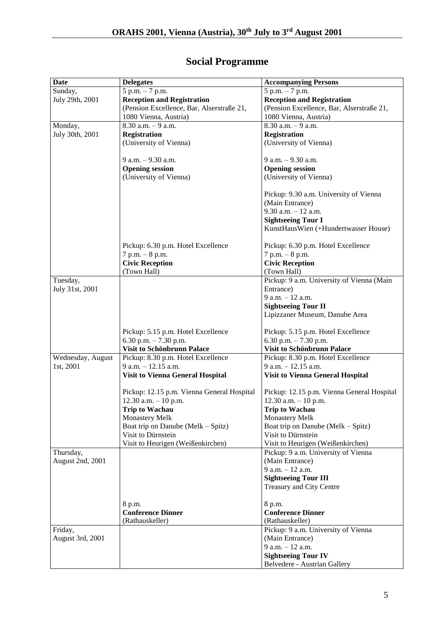| Date              | <b>Delegates</b>                           | <b>Accompanying Persons</b>                |
|-------------------|--------------------------------------------|--------------------------------------------|
| Sunday,           | $5 p.m. - 7 p.m.$                          | 5 p.m. - 7 p.m.                            |
| July 29th, 2001   | <b>Reception and Registration</b>          | <b>Reception and Registration</b>          |
|                   | (Pension Excellence, Bar, Alserstraße 21,  | (Pension Excellence, Bar, Alserstraße 21,  |
|                   | 1080 Vienna, Austria)                      | 1080 Vienna, Austria)                      |
| Monday,           | $8.30$ a.m. $-9$ a.m.                      | $8.30$ a.m. $-9$ a.m.                      |
| July 30th, 2001   | <b>Registration</b>                        | <b>Registration</b>                        |
|                   | (University of Vienna)                     | (University of Vienna)                     |
|                   |                                            |                                            |
|                   | 9 a.m. - 9.30 a.m.                         | 9 a.m. - 9.30 a.m.                         |
|                   | <b>Opening session</b>                     | <b>Opening session</b>                     |
|                   | (University of Vienna)                     | (University of Vienna)                     |
|                   |                                            |                                            |
|                   |                                            | Pickup: 9.30 a.m. University of Vienna     |
|                   |                                            | (Main Entrance)                            |
|                   |                                            | $9.30$ a.m. $-12$ a.m.                     |
|                   |                                            | <b>Sightseeing Tour I</b>                  |
|                   |                                            | KunstHausWien (+Hundertwasser House)       |
|                   |                                            |                                            |
|                   | Pickup: 6.30 p.m. Hotel Excellence         | Pickup: 6.30 p.m. Hotel Excellence         |
|                   | $7 p.m. - 8 p.m.$                          | $7 p.m. - 8 p.m.$                          |
|                   | <b>Civic Reception</b>                     | <b>Civic Reception</b>                     |
|                   | (Town Hall)                                | (Town Hall)                                |
| Tuesday,          |                                            | Pickup: 9 a.m. University of Vienna (Main  |
| July 31st, 2001   |                                            | Entrance)                                  |
|                   |                                            | $9 a.m. - 12 a.m.$                         |
|                   |                                            | <b>Sightseeing Tour II</b>                 |
|                   |                                            | Lipizzaner Museum, Danube Area             |
|                   |                                            |                                            |
|                   | Pickup: 5.15 p.m. Hotel Excellence         | Pickup: 5.15 p.m. Hotel Excellence         |
|                   | 6.30 p.m. $- 7.30$ p.m.                    | 6.30 p.m. $-7.30$ p.m.                     |
|                   | Visit to Schönbrunn Palace                 | Visit to Schönbrunn Palace                 |
| Wednesday, August | Pickup: 8.30 p.m. Hotel Excellence         | Pickup: 8.30 p.m. Hotel Excellence         |
| 1st, 2001         | $9$ a.m. $-12.15$ a.m.                     | $9$ a.m. $-12.15$ a.m.                     |
|                   | <b>Visit to Vienna General Hospital</b>    | <b>Visit to Vienna General Hospital</b>    |
|                   |                                            |                                            |
|                   | Pickup: 12.15 p.m. Vienna General Hospital | Pickup: 12.15 p.m. Vienna General Hospital |
|                   | $12.30$ a.m. $-10$ p.m.                    | $12.30$ a.m. $-10$ p.m.                    |
|                   | <b>Trip to Wachau</b>                      | <b>Trip to Wachau</b>                      |
|                   | <b>Monastery Melk</b>                      | <b>Monastery Melk</b>                      |
|                   | Boat trip on Danube (Melk - Spitz)         | Boat trip on Danube (Melk – Spitz)         |
|                   | Visit to Dürnstein                         | Visit to Dürnstein                         |
|                   | Visit to Heurigen (Weißenkirchen)          | Visit to Heurigen (Weißenkirchen)          |
| Thursday,         |                                            | Pickup: 9 a.m. University of Vienna        |
| August 2nd, 2001  |                                            | (Main Entrance)                            |
|                   |                                            | 9 a.m. $-12$ a.m.                          |
|                   |                                            | <b>Sightseeing Tour III</b>                |
|                   |                                            | Treasury and City Centre                   |
|                   |                                            |                                            |
|                   | 8 p.m.                                     | 8 p.m.                                     |
|                   | <b>Conference Dinner</b>                   | <b>Conference Dinner</b>                   |
|                   | (Rathauskeller)                            | (Rathauskeller)                            |
| Friday,           |                                            | Pickup: 9 a.m. University of Vienna        |
| August 3rd, 2001  |                                            | (Main Entrance)                            |
|                   |                                            | 9 a.m. - 12 a.m.                           |
|                   |                                            | <b>Sightseeing Tour IV</b>                 |
|                   |                                            | <b>Belvedere - Austrian Gallery</b>        |
|                   |                                            |                                            |

## **Social Programme**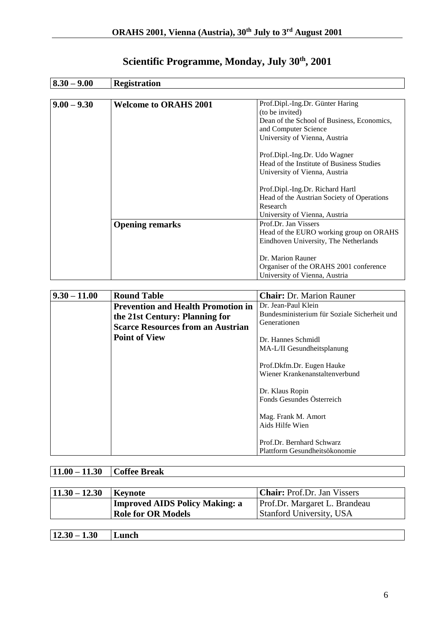| $8.30 - 9.00$ | <b>Registration</b>          |                                            |  |
|---------------|------------------------------|--------------------------------------------|--|
|               |                              |                                            |  |
| $9.00 - 9.30$ | <b>Welcome to ORAHS 2001</b> | Prof.Dipl.-Ing.Dr. Günter Haring           |  |
|               |                              | (to be invited)                            |  |
|               |                              | Dean of the School of Business, Economics, |  |
|               |                              | and Computer Science                       |  |
|               |                              | University of Vienna, Austria              |  |
|               |                              | Prof.Dipl.-Ing.Dr. Udo Wagner              |  |
|               |                              | Head of the Institute of Business Studies  |  |
|               |                              | University of Vienna, Austria              |  |
|               |                              | Prof.Dipl.-Ing.Dr. Richard Hartl           |  |
|               |                              | Head of the Austrian Society of Operations |  |
|               |                              | Research                                   |  |
|               |                              | University of Vienna, Austria              |  |
|               | <b>Opening remarks</b>       | Prof.Dr. Jan Vissers                       |  |
|               |                              | Head of the EURO working group on ORAHS    |  |
|               |                              | Eindhoven University, The Netherlands      |  |
|               |                              |                                            |  |
|               |                              | Dr. Marion Rauner                          |  |
|               |                              | Organiser of the ORAHS 2001 conference     |  |
|               |                              | University of Vienna, Austria              |  |

## **Scientific Programme, Monday, July 30th, 2001**

| $9.30 - 11.00$ | <b>Round Table</b>                        | <b>Chair:</b> Dr. Marion Rauner                             |
|----------------|-------------------------------------------|-------------------------------------------------------------|
|                | <b>Prevention and Health Promotion in</b> | Dr. Jean-Paul Klein                                         |
|                | the 21st Century: Planning for            | Bundesministerium für Soziale Sicherheit und                |
|                | <b>Scarce Resources from an Austrian</b>  | Generationen                                                |
|                | <b>Point of View</b>                      | Dr. Hannes Schmidl<br>MA-L/II Gesundheitsplanung            |
|                |                                           | Prof.Dkfm.Dr. Eugen Hauke<br>Wiener Krankenanstaltenverbund |
|                |                                           | Dr. Klaus Ropin<br>Fonds Gesundes Österreich                |
|                |                                           | Mag. Frank M. Amort<br>Aids Hilfe Wien                      |
|                |                                           | Prof.Dr. Bernhard Schwarz<br>Plattform Gesundheitsökonomie  |

## **11.00 – 11.30 Coffee Break**

| $11.30 - 12.30$ | Keynote                        | <b>Chair:</b> Prof.Dr. Jan Vissers |
|-----------------|--------------------------------|------------------------------------|
|                 | Improved AIDS Policy Making: a | Prof.Dr. Margaret L. Brandeau      |
|                 | <b>Role for OR Models</b>      | <b>Stanford University, USA</b>    |
|                 |                                |                                    |

| $\sim$<br>11<br>$30 -$<br>I.30<br>1200<br>---- | unch |
|------------------------------------------------|------|
|                                                |      |

┑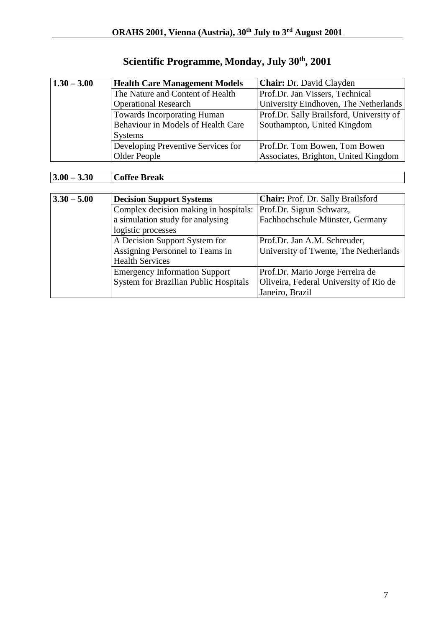| $1.30 - 3.00$ | <b>Health Care Management Models</b> | <b>Chair:</b> Dr. David Clayden          |
|---------------|--------------------------------------|------------------------------------------|
|               | The Nature and Content of Health     | Prof.Dr. Jan Vissers, Technical          |
|               | <b>Operational Research</b>          | University Eindhoven, The Netherlands    |
|               | <b>Towards Incorporating Human</b>   | Prof.Dr. Sally Brailsford, University of |
|               | Behaviour in Models of Health Care   | Southampton, United Kingdom              |
|               | <b>Systems</b>                       |                                          |
|               | Developing Preventive Services for   | Prof.Dr. Tom Bowen, Tom Bowen            |
|               | Older People                         | Associates, Brighton, United Kingdom     |

## **Scientific Programme, Monday, July 30th, 2001**

## **3.00 – 3.30 Coffee Break**

| $3.30 - 5.00$ | <b>Decision Support Systems</b>              | <b>Chair:</b> Prof. Dr. Sally Brailsford |
|---------------|----------------------------------------------|------------------------------------------|
|               | Complex decision making in hospitals:        | Prof.Dr. Sigrun Schwarz,                 |
|               | a simulation study for analysing             | Fachhochschule Münster, Germany          |
|               | logistic processes                           |                                          |
|               | A Decision Support System for                | Prof.Dr. Jan A.M. Schreuder,             |
|               | Assigning Personnel to Teams in              | University of Twente, The Netherlands    |
|               | <b>Health Services</b>                       |                                          |
|               | <b>Emergency Information Support</b>         | Prof.Dr. Mario Jorge Ferreira de         |
|               | <b>System for Brazilian Public Hospitals</b> | Oliveira, Federal University of Rio de   |
|               |                                              | Janeiro, Brazil                          |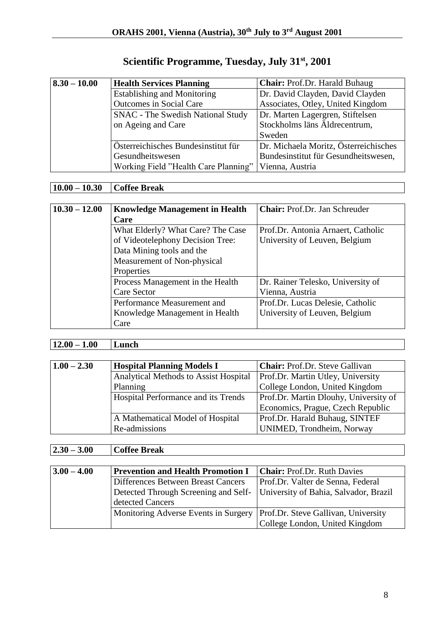| Scientific Programme, Tuesday, July 31 <sup>st</sup> , 2001 |  |  |
|-------------------------------------------------------------|--|--|
|                                                             |  |  |

| $8.30 - 10.00$ | <b>Health Services Planning</b>      | Chair: Prof.Dr. Harald Buhaug         |
|----------------|--------------------------------------|---------------------------------------|
|                | <b>Establishing and Monitoring</b>   | Dr. David Clayden, David Clayden      |
|                | <b>Outcomes in Social Care</b>       | Associates, Otley, United Kingdom     |
|                | SNAC - The Swedish National Study    | Dr. Marten Lagergren, Stiftelsen      |
|                | on Ageing and Care                   | Stockholms läns Äldrecentrum,         |
|                |                                      | Sweden                                |
|                | Österreichisches Bundesinstitut für  | Dr. Michaela Moritz, Österreichisches |
|                | Gesundheitswesen                     | Bundesinstitut für Gesundheitswesen,  |
|                | Working Field "Health Care Planning" | Vienna, Austria                       |

## **10.00 – 10.30 Coffee Break**

| $10.30 - 12.00$ | <b>Knowledge Management in Health</b> | <b>Chair:</b> Prof.Dr. Jan Schreuder |
|-----------------|---------------------------------------|--------------------------------------|
|                 | Care                                  |                                      |
|                 | What Elderly? What Care? The Case     | Prof.Dr. Antonia Arnaert, Catholic   |
|                 | of Videotelephony Decision Tree:      | University of Leuven, Belgium        |
|                 | Data Mining tools and the             |                                      |
|                 | Measurement of Non-physical           |                                      |
|                 | Properties                            |                                      |
|                 | Process Management in the Health      | Dr. Rainer Telesko, University of    |
|                 | <b>Care Sector</b>                    | Vienna, Austria                      |
|                 | Performance Measurement and           | Prof.Dr. Lucas Delesie, Catholic     |
|                 | Knowledge Management in Health        | University of Leuven, Belgium        |
|                 | Care                                  |                                      |

## **12.00 – 1.00 Lunch**

| $1.00 - 2.30$ | <b>Hospital Planning Models I</b>     | <b>Chair:</b> Prof.Dr. Steve Gallivan |
|---------------|---------------------------------------|---------------------------------------|
|               | Analytical Methods to Assist Hospital | Prof.Dr. Martin Utley, University     |
|               | Planning                              | College London, United Kingdom        |
|               | Hospital Performance and its Trends   | Prof.Dr. Martin Dlouhy, University of |
|               |                                       | Economics, Prague, Czech Republic     |
|               | A Mathematical Model of Hospital      | Prof.Dr. Harald Buhaug, SINTEF        |
|               | Re-admissions                         | UNIMED, Trondheim, Norway             |

## **2.30 – 3.00 Coffee Break**

| $3.00 - 4.00$ | <b>Prevention and Health Promotion I</b>                                   | <b>Chair:</b> Prof.Dr. Ruth Davies  |
|---------------|----------------------------------------------------------------------------|-------------------------------------|
|               | Differences Between Breast Cancers                                         | Prof.Dr. Valter de Senna, Federal   |
|               | Detected Through Screening and Self- University of Bahia, Salvador, Brazil |                                     |
|               | detected Cancers                                                           |                                     |
|               | Monitoring Adverse Events in Surgery                                       | Prof.Dr. Steve Gallivan, University |
|               |                                                                            | College London, United Kingdom      |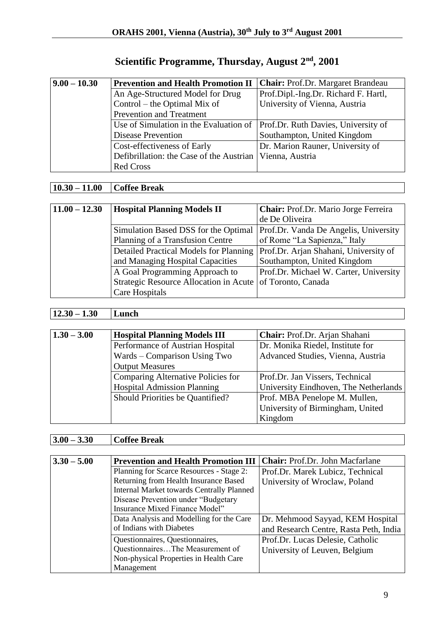## **Scientific Programme, Thursday, August 2nd, 2001**

| $9.00 - 10.30$ | <b>Prevention and Health Promotion II</b>                  | <b>Chair:</b> Prof.Dr. Margaret Brandeau |
|----------------|------------------------------------------------------------|------------------------------------------|
|                | An Age-Structured Model for Drug                           | Prof.Dipl.-Ing.Dr. Richard F. Hartl,     |
|                | Control – the Optimal Mix of                               | University of Vienna, Austria            |
|                | <b>Prevention and Treatment</b>                            |                                          |
|                | Use of Simulation in the Evaluation of                     | Prof.Dr. Ruth Davies, University of      |
|                | <b>Disease Prevention</b>                                  | Southampton, United Kingdom              |
|                | Cost-effectiveness of Early                                | Dr. Marion Rauner, University of         |
|                | Defibrillation: the Case of the Austrian   Vienna, Austria |                                          |
|                | <b>Red Cross</b>                                           |                                          |

## **10.30 – 11.00 Coffee Break**

| $11.00 - 12.30$ | <b>Hospital Planning Models II</b>            | Chair: Prof.Dr. Mario Jorge Ferreira   |
|-----------------|-----------------------------------------------|----------------------------------------|
|                 |                                               | de De Oliveira                         |
|                 | Simulation Based DSS for the Optimal          | Prof.Dr. Vanda De Angelis, University  |
|                 | Planning of a Transfusion Centre              | of Rome "La Sapienza," Italy           |
|                 | <b>Detailed Practical Models for Planning</b> | Prof.Dr. Arjan Shahani, University of  |
|                 | and Managing Hospital Capacities              | Southampton, United Kingdom            |
|                 | A Goal Programming Approach to                | Prof.Dr. Michael W. Carter, University |
|                 | Strategic Resource Allocation in Acute        | of Toronto, Canada                     |
|                 | Care Hospitals                                |                                        |

### **12.30 – 1.30 Lunch**

| $1.30 - 3.00$ | <b>Hospital Planning Models III</b> | Chair: Prof.Dr. Arjan Shahani         |
|---------------|-------------------------------------|---------------------------------------|
|               | Performance of Austrian Hospital    | Dr. Monika Riedel, Institute for      |
|               | Wards – Comparison Using Two        | Advanced Studies, Vienna, Austria     |
|               | <b>Output Measures</b>              |                                       |
|               | Comparing Alternative Policies for  | Prof.Dr. Jan Vissers, Technical       |
|               | <b>Hospital Admission Planning</b>  | University Eindhoven, The Netherlands |
|               | Should Priorities be Quantified?    | Prof. MBA Penelope M. Mullen,         |
|               |                                     | University of Birmingham, United      |
|               |                                     | Kingdom                               |

## **3.00 – 3.30 Coffee Break**

| $3.30 - 5.00$ | <b>Prevention and Health Promotion III</b>       | <b>Chair:</b> Prof.Dr. John Macfarlane |
|---------------|--------------------------------------------------|----------------------------------------|
|               | Planning for Scarce Resources - Stage 2:         | Prof.Dr. Marek Lubicz, Technical       |
|               | Returning from Health Insurance Based            | University of Wroclaw, Poland          |
|               | <b>Internal Market towards Centrally Planned</b> |                                        |
|               | Disease Prevention under "Budgetary              |                                        |
|               | <b>Insurance Mixed Finance Model"</b>            |                                        |
|               | Data Analysis and Modelling for the Care         | Dr. Mehmood Sayyad, KEM Hospital       |
|               | of Indians with Diabetes                         | and Research Centre, Rasta Peth, India |
|               | Questionnaires, Questionnaires,                  | Prof.Dr. Lucas Delesie, Catholic       |
|               | QuestionnairesThe Measurement of                 | University of Leuven, Belgium          |
|               | Non-physical Properties in Health Care           |                                        |
|               | Management                                       |                                        |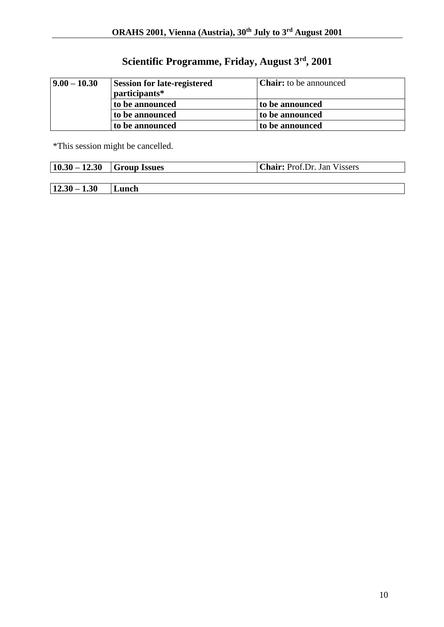## **Scientific Programme, Friday, August 3rd, 2001**

| $ 9.00 - 10.30 $ | <b>Session for late-registered</b><br>participants* | <b>Chair:</b> to be announced |
|------------------|-----------------------------------------------------|-------------------------------|
|                  | to be announced                                     | to be announced               |
|                  | to be announced                                     | to be announced               |
|                  | to be announced                                     | to be announced               |

\*This session might be cancelled.

| $ 10.30 - 12.30 $ Group Issues |       | <b>Chair:</b> Prof.Dr. Jan Vissers |
|--------------------------------|-------|------------------------------------|
|                                |       |                                    |
| $12.30 - 1.30$                 | Lunch |                                    |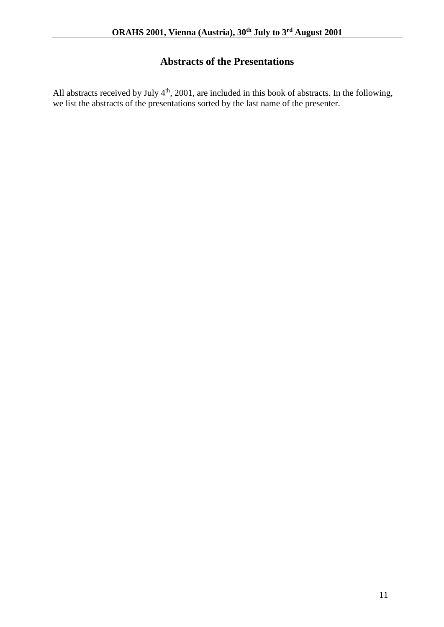## **Abstracts of the Presentations**

All abstracts received by July  $4<sup>th</sup>$ , 2001, are included in this book of abstracts. In the following, we list the abstracts of the presentations sorted by the last name of the presenter.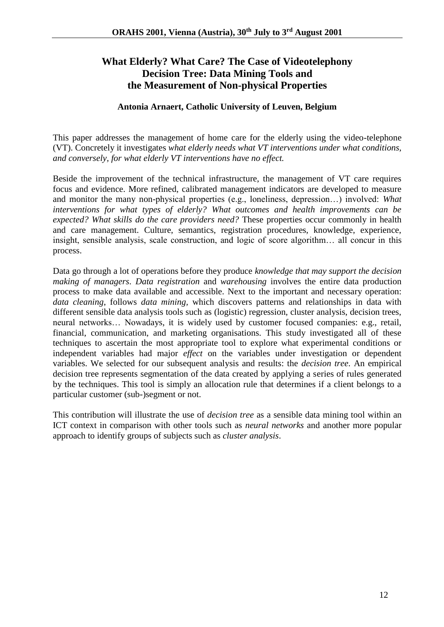## **What Elderly? What Care? The Case of Videotelephony Decision Tree: Data Mining Tools and the Measurement of Non-physical Properties**

#### **Antonia Arnaert, Catholic University of Leuven, Belgium**

This paper addresses the management of home care for the elderly using the video-telephone (VT). Concretely it investigates *what elderly needs what VT interventions under what conditions, and conversely, for what elderly VT interventions have no effect.*

Beside the improvement of the technical infrastructure, the management of VT care requires focus and evidence. More refined, calibrated management indicators are developed to measure and monitor the many non-physical properties (e.g., loneliness, depression…) involved: *What interventions for what types of elderly? What outcomes and health improvements can be expected? What skills do the care providers need?* These properties occur commonly in health and care management. Culture, semantics, registration procedures, knowledge, experience, insight, sensible analysis, scale construction, and logic of score algorithm… all concur in this process.

Data go through a lot of operations before they produce *knowledge that may support the decision making of managers*. *Data registration* and *warehousing* involves the entire data production process to make data available and accessible. Next to the important and necessary operation: *data cleaning*, follows *data mining,* which discovers patterns and relationships in data with different sensible data analysis tools such as (logistic) regression, cluster analysis, decision trees, neural networks… Nowadays, it is widely used by customer focused companies: e.g., retail, financial, communication, and marketing organisations. This study investigated all of these techniques to ascertain the most appropriate tool to explore what experimental conditions or independent variables had major *effect* on the variables under investigation or dependent variables. We selected for our subsequent analysis and results: the *decision tree*. An empirical decision tree represents segmentation of the data created by applying a series of rules generated by the techniques. This tool is simply an allocation rule that determines if a client belongs to a particular customer (sub-)segment or not.

This contribution will illustrate the use of *decision tree* as a sensible data mining tool within an ICT context in comparison with other tools such as *neural networks* and another more popular approach to identify groups of subjects such as *cluster analysis*.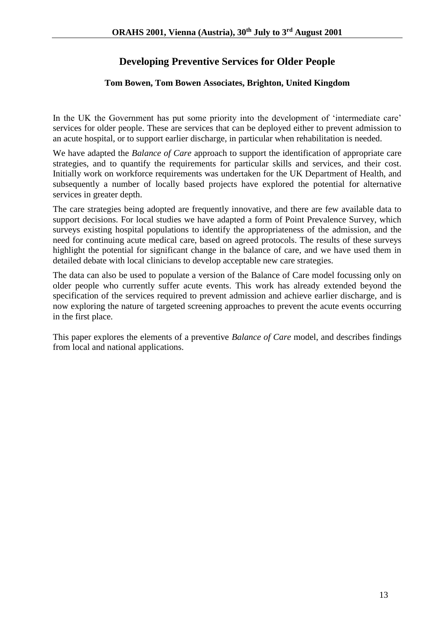## **Developing Preventive Services for Older People**

#### **Tom Bowen, Tom Bowen Associates, Brighton, United Kingdom**

In the UK the Government has put some priority into the development of 'intermediate care' services for older people. These are services that can be deployed either to prevent admission to an acute hospital, or to support earlier discharge, in particular when rehabilitation is needed.

We have adapted the *Balance of Care* approach to support the identification of appropriate care strategies, and to quantify the requirements for particular skills and services, and their cost. Initially work on workforce requirements was undertaken for the UK Department of Health, and subsequently a number of locally based projects have explored the potential for alternative services in greater depth.

The care strategies being adopted are frequently innovative, and there are few available data to support decisions. For local studies we have adapted a form of Point Prevalence Survey, which surveys existing hospital populations to identify the appropriateness of the admission, and the need for continuing acute medical care, based on agreed protocols. The results of these surveys highlight the potential for significant change in the balance of care, and we have used them in detailed debate with local clinicians to develop acceptable new care strategies.

The data can also be used to populate a version of the Balance of Care model focussing only on older people who currently suffer acute events. This work has already extended beyond the specification of the services required to prevent admission and achieve earlier discharge, and is now exploring the nature of targeted screening approaches to prevent the acute events occurring in the first place.

This paper explores the elements of a preventive *Balance of Care* model, and describes findings from local and national applications.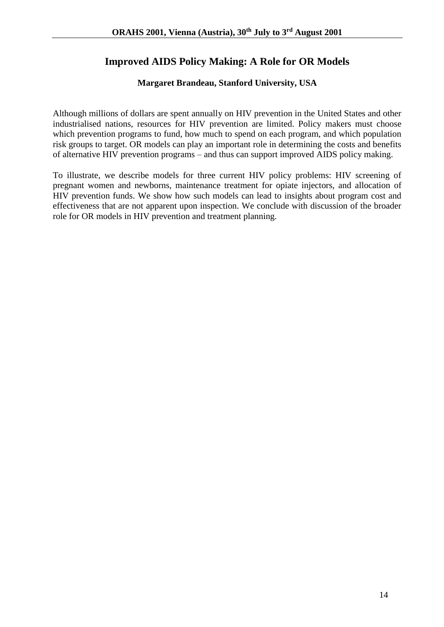## **Improved AIDS Policy Making: A Role for OR Models**

#### **Margaret Brandeau, Stanford University, USA**

Although millions of dollars are spent annually on HIV prevention in the United States and other industrialised nations, resources for HIV prevention are limited. Policy makers must choose which prevention programs to fund, how much to spend on each program, and which population risk groups to target. OR models can play an important role in determining the costs and benefits of alternative HIV prevention programs – and thus can support improved AIDS policy making.

To illustrate, we describe models for three current HIV policy problems: HIV screening of pregnant women and newborns, maintenance treatment for opiate injectors, and allocation of HIV prevention funds. We show how such models can lead to insights about program cost and effectiveness that are not apparent upon inspection. We conclude with discussion of the broader role for OR models in HIV prevention and treatment planning.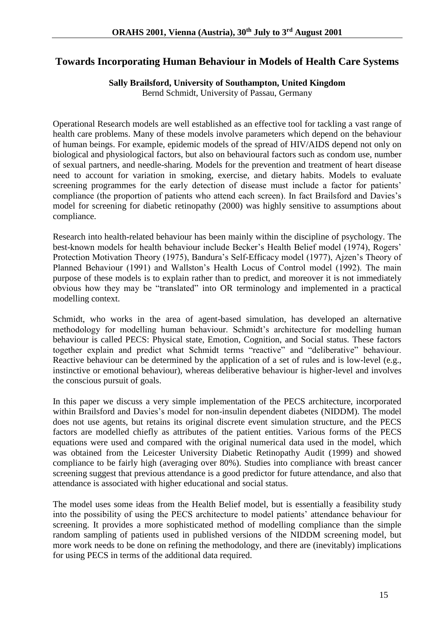### **Towards Incorporating Human Behaviour in Models of Health Care Systems**

#### **Sally Brailsford, University of Southampton, United Kingdom**

Bernd Schmidt, University of Passau, Germany

Operational Research models are well established as an effective tool for tackling a vast range of health care problems. Many of these models involve parameters which depend on the behaviour of human beings. For example, epidemic models of the spread of HIV/AIDS depend not only on biological and physiological factors, but also on behavioural factors such as condom use, number of sexual partners, and needle-sharing. Models for the prevention and treatment of heart disease need to account for variation in smoking, exercise, and dietary habits. Models to evaluate screening programmes for the early detection of disease must include a factor for patients' compliance (the proportion of patients who attend each screen). In fact Brailsford and Davies's model for screening for diabetic retinopathy (2000) was highly sensitive to assumptions about compliance.

Research into health-related behaviour has been mainly within the discipline of psychology. The best-known models for health behaviour include Becker's Health Belief model (1974), Rogers' Protection Motivation Theory (1975), Bandura's Self-Efficacy model (1977), Ajzen's Theory of Planned Behaviour (1991) and Wallston's Health Locus of Control model (1992). The main purpose of these models is to explain rather than to predict, and moreover it is not immediately obvious how they may be "translated" into OR terminology and implemented in a practical modelling context.

Schmidt, who works in the area of agent-based simulation, has developed an alternative methodology for modelling human behaviour. Schmidt's architecture for modelling human behaviour is called PECS: Physical state, Emotion, Cognition, and Social status. These factors together explain and predict what Schmidt terms "reactive" and "deliberative" behaviour. Reactive behaviour can be determined by the application of a set of rules and is low-level (e.g., instinctive or emotional behaviour), whereas deliberative behaviour is higher-level and involves the conscious pursuit of goals.

In this paper we discuss a very simple implementation of the PECS architecture, incorporated within Brailsford and Davies's model for non-insulin dependent diabetes (NIDDM). The model does not use agents, but retains its original discrete event simulation structure, and the PECS factors are modelled chiefly as attributes of the patient entities. Various forms of the PECS equations were used and compared with the original numerical data used in the model, which was obtained from the Leicester University Diabetic Retinopathy Audit (1999) and showed compliance to be fairly high (averaging over 80%). Studies into compliance with breast cancer screening suggest that previous attendance is a good predictor for future attendance, and also that attendance is associated with higher educational and social status.

The model uses some ideas from the Health Belief model, but is essentially a feasibility study into the possibility of using the PECS architecture to model patients' attendance behaviour for screening. It provides a more sophisticated method of modelling compliance than the simple random sampling of patients used in published versions of the NIDDM screening model, but more work needs to be done on refining the methodology, and there are (inevitably) implications for using PECS in terms of the additional data required.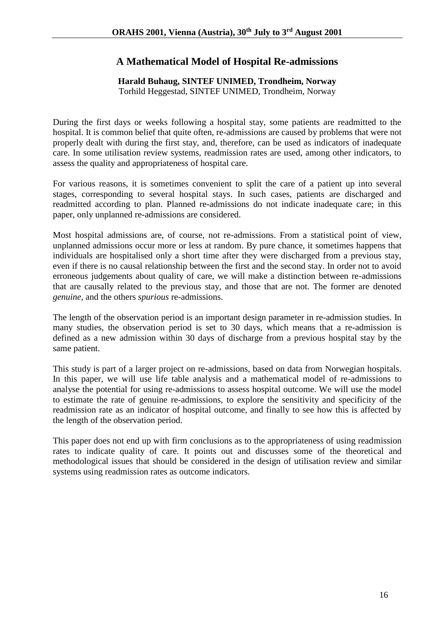## **A Mathematical Model of Hospital Re-admissions**

#### **Harald Buhaug, SINTEF UNIMED, Trondheim, Norway**

Torhild Heggestad, SINTEF UNIMED, Trondheim, Norway

During the first days or weeks following a hospital stay, some patients are readmitted to the hospital. It is common belief that quite often, re-admissions are caused by problems that were not properly dealt with during the first stay, and, therefore, can be used as indicators of inadequate care. In some utilisation review systems, readmission rates are used, among other indicators, to assess the quality and appropriateness of hospital care.

For various reasons, it is sometimes convenient to split the care of a patient up into several stages, corresponding to several hospital stays. In such cases, patients are discharged and readmitted according to plan. Planned re-admissions do not indicate inadequate care; in this paper, only unplanned re-admissions are considered.

Most hospital admissions are, of course, not re-admissions. From a statistical point of view, unplanned admissions occur more or less at random. By pure chance, it sometimes happens that individuals are hospitalised only a short time after they were discharged from a previous stay, even if there is no causal relationship between the first and the second stay. In order not to avoid erroneous judgements about quality of care, we will make a distinction between re-admissions that are causally related to the previous stay, and those that are not. The former are denoted *genuine*, and the others *spurious* re-admissions.

The length of the observation period is an important design parameter in re-admission studies. In many studies, the observation period is set to 30 days, which means that a re-admission is defined as a new admission within 30 days of discharge from a previous hospital stay by the same patient.

This study is part of a larger project on re-admissions, based on data from Norwegian hospitals. In this paper, we will use life table analysis and a mathematical model of re-admissions to analyse the potential for using re-admissions to assess hospital outcome. We will use the model to estimate the rate of genuine re-admissions, to explore the sensitivity and specificity of the readmission rate as an indicator of hospital outcome, and finally to see how this is affected by the length of the observation period.

This paper does not end up with firm conclusions as to the appropriateness of using readmission rates to indicate quality of care. It points out and discusses some of the theoretical and methodological issues that should be considered in the design of utilisation review and similar systems using readmission rates as outcome indicators.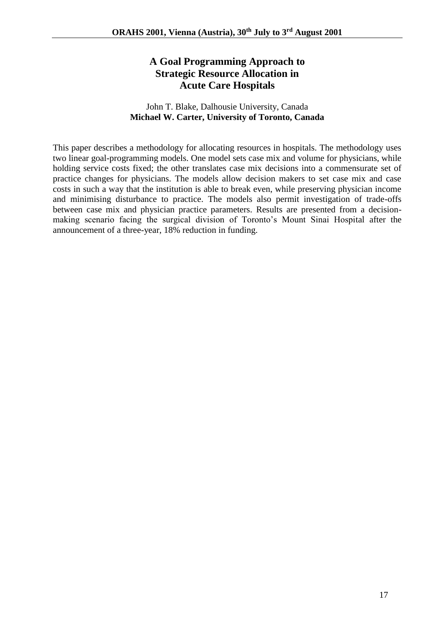## **A Goal Programming Approach to Strategic Resource Allocation in Acute Care Hospitals**

#### John T. Blake, Dalhousie University, Canada **Michael W. Carter, University of Toronto, Canada**

This paper describes a methodology for allocating resources in hospitals. The methodology uses two linear goal-programming models. One model sets case mix and volume for physicians, while holding service costs fixed; the other translates case mix decisions into a commensurate set of practice changes for physicians. The models allow decision makers to set case mix and case costs in such a way that the institution is able to break even, while preserving physician income and minimising disturbance to practice. The models also permit investigation of trade-offs between case mix and physician practice parameters. Results are presented from a decisionmaking scenario facing the surgical division of Toronto's Mount Sinai Hospital after the announcement of a three-year, 18% reduction in funding.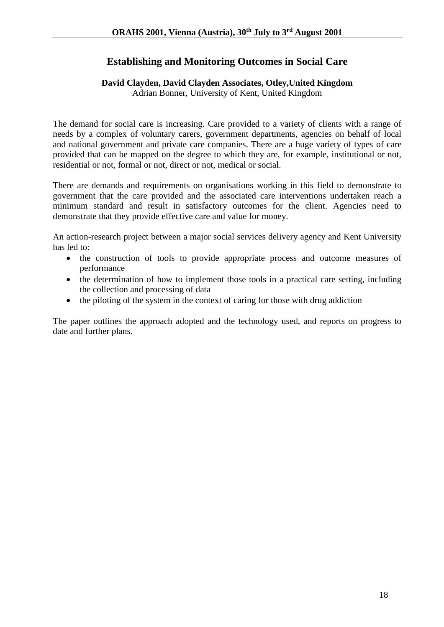## **Establishing and Monitoring Outcomes in Social Care**

## **David Clayden, David Clayden Associates, Otley,United Kingdom**

Adrian Bonner, University of Kent, United Kingdom

The demand for social care is increasing. Care provided to a variety of clients with a range of needs by a complex of voluntary carers, government departments, agencies on behalf of local and national government and private care companies. There are a huge variety of types of care provided that can be mapped on the degree to which they are, for example, institutional or not, residential or not, formal or not, direct or not, medical or social.

There are demands and requirements on organisations working in this field to demonstrate to government that the care provided and the associated care interventions undertaken reach a minimum standard and result in satisfactory outcomes for the client. Agencies need to demonstrate that they provide effective care and value for money.

An action-research project between a major social services delivery agency and Kent University has led to:

- the construction of tools to provide appropriate process and outcome measures of performance
- the determination of how to implement those tools in a practical care setting, including the collection and processing of data
- the piloting of the system in the context of caring for those with drug addiction

The paper outlines the approach adopted and the technology used, and reports on progress to date and further plans.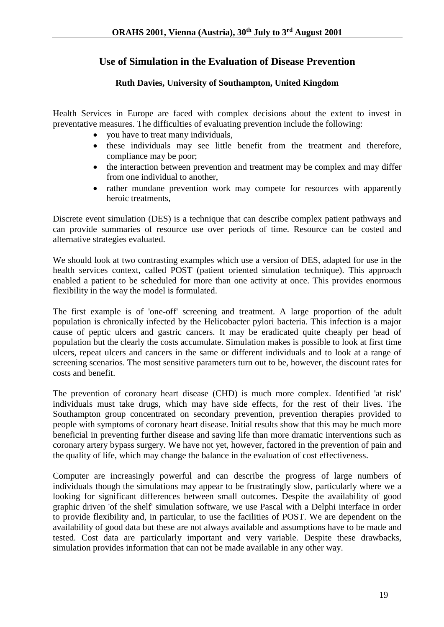### **Use of Simulation in the Evaluation of Disease Prevention**

#### **Ruth Davies, University of Southampton, United Kingdom**

Health Services in Europe are faced with complex decisions about the extent to invest in preventative measures. The difficulties of evaluating prevention include the following:

- you have to treat many individuals,
- these individuals may see little benefit from the treatment and therefore, compliance may be poor;
- the interaction between prevention and treatment may be complex and may differ from one individual to another,
- rather mundane prevention work may compete for resources with apparently heroic treatments,

Discrete event simulation (DES) is a technique that can describe complex patient pathways and can provide summaries of resource use over periods of time. Resource can be costed and alternative strategies evaluated.

We should look at two contrasting examples which use a version of DES, adapted for use in the health services context, called POST (patient oriented simulation technique). This approach enabled a patient to be scheduled for more than one activity at once. This provides enormous flexibility in the way the model is formulated.

The first example is of 'one-off' screening and treatment. A large proportion of the adult population is chronically infected by the Helicobacter pylori bacteria. This infection is a major cause of peptic ulcers and gastric cancers. It may be eradicated quite cheaply per head of population but the clearly the costs accumulate. Simulation makes is possible to look at first time ulcers, repeat ulcers and cancers in the same or different individuals and to look at a range of screening scenarios. The most sensitive parameters turn out to be, however, the discount rates for costs and benefit.

The prevention of coronary heart disease (CHD) is much more complex. Identified 'at risk' individuals must take drugs, which may have side effects, for the rest of their lives. The Southampton group concentrated on secondary prevention, prevention therapies provided to people with symptoms of coronary heart disease. Initial results show that this may be much more beneficial in preventing further disease and saving life than more dramatic interventions such as coronary artery bypass surgery. We have not yet, however, factored in the prevention of pain and the quality of life, which may change the balance in the evaluation of cost effectiveness.

Computer are increasingly powerful and can describe the progress of large numbers of individuals though the simulations may appear to be frustratingly slow, particularly where we a looking for significant differences between small outcomes. Despite the availability of good graphic driven 'of the shelf' simulation software, we use Pascal with a Delphi interface in order to provide flexibility and, in particular, to use the facilities of POST. We are dependent on the availability of good data but these are not always available and assumptions have to be made and tested. Cost data are particularly important and very variable. Despite these drawbacks, simulation provides information that can not be made available in any other way.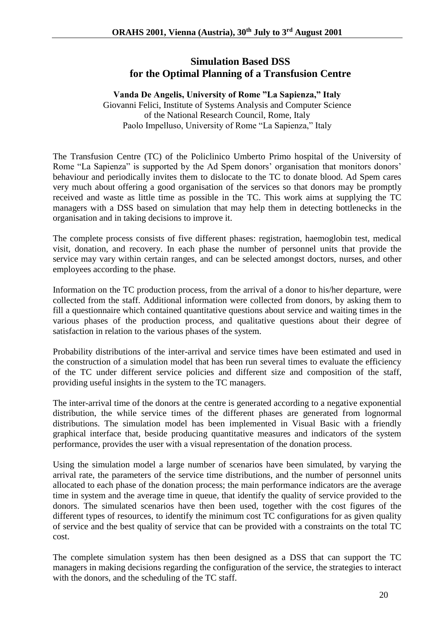### **Simulation Based DSS for the Optimal Planning of a Transfusion Centre**

#### **Vanda De Angelis, University of Rome "La Sapienza," Italy**

Giovanni Felici, Institute of Systems Analysis and Computer Science of the National Research Council, Rome, Italy Paolo Impelluso, University of Rome "La Sapienza," Italy

The Transfusion Centre (TC) of the Policlinico Umberto Primo hospital of the University of Rome "La Sapienza" is supported by the Ad Spem donors' organisation that monitors donors' behaviour and periodically invites them to dislocate to the TC to donate blood. Ad Spem cares very much about offering a good organisation of the services so that donors may be promptly received and waste as little time as possible in the TC. This work aims at supplying the TC managers with a DSS based on simulation that may help them in detecting bottlenecks in the organisation and in taking decisions to improve it.

The complete process consists of five different phases: registration, haemoglobin test, medical visit, donation, and recovery. In each phase the number of personnel units that provide the service may vary within certain ranges, and can be selected amongst doctors, nurses, and other employees according to the phase.

Information on the TC production process, from the arrival of a donor to his/her departure, were collected from the staff. Additional information were collected from donors, by asking them to fill a questionnaire which contained quantitative questions about service and waiting times in the various phases of the production process, and qualitative questions about their degree of satisfaction in relation to the various phases of the system.

Probability distributions of the inter-arrival and service times have been estimated and used in the construction of a simulation model that has been run several times to evaluate the efficiency of the TC under different service policies and different size and composition of the staff, providing useful insights in the system to the TC managers.

The inter-arrival time of the donors at the centre is generated according to a negative exponential distribution, the while service times of the different phases are generated from lognormal distributions. The simulation model has been implemented in Visual Basic with a friendly graphical interface that, beside producing quantitative measures and indicators of the system performance, provides the user with a visual representation of the donation process.

Using the simulation model a large number of scenarios have been simulated, by varying the arrival rate, the parameters of the service time distributions, and the number of personnel units allocated to each phase of the donation process; the main performance indicators are the average time in system and the average time in queue, that identify the quality of service provided to the donors. The simulated scenarios have then been used, together with the cost figures of the different types of resources, to identify the minimum cost TC configurations for as given quality of service and the best quality of service that can be provided with a constraints on the total TC cost.

The complete simulation system has then been designed as a DSS that can support the TC managers in making decisions regarding the configuration of the service, the strategies to interact with the donors, and the scheduling of the TC staff.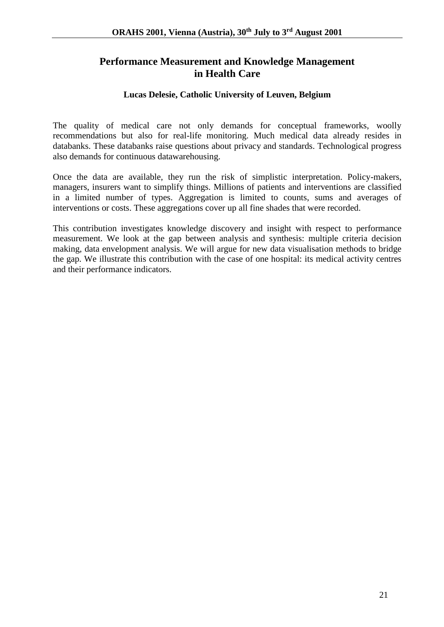### **Performance Measurement and Knowledge Management in Health Care**

#### **Lucas Delesie, Catholic University of Leuven, Belgium**

The quality of medical care not only demands for conceptual frameworks, woolly recommendations but also for real-life monitoring. Much medical data already resides in databanks. These databanks raise questions about privacy and standards. Technological progress also demands for continuous datawarehousing.

Once the data are available, they run the risk of simplistic interpretation. Policy-makers, managers, insurers want to simplify things. Millions of patients and interventions are classified in a limited number of types. Aggregation is limited to counts, sums and averages of interventions or costs. These aggregations cover up all fine shades that were recorded.

This contribution investigates knowledge discovery and insight with respect to performance measurement. We look at the gap between analysis and synthesis: multiple criteria decision making, data envelopment analysis. We will argue for new data visualisation methods to bridge the gap. We illustrate this contribution with the case of one hospital: its medical activity centres and their performance indicators.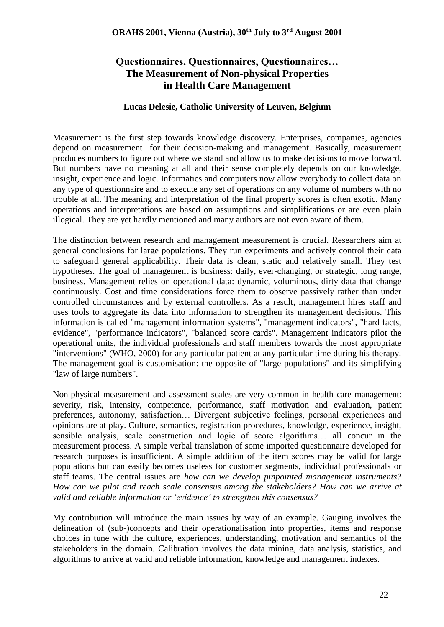## **Questionnaires, Questionnaires, Questionnaires… The Measurement of Non-physical Properties in Health Care Management**

#### **Lucas Delesie, Catholic University of Leuven, Belgium**

Measurement is the first step towards knowledge discovery. Enterprises, companies, agencies depend on measurement for their decision-making and management. Basically, measurement produces numbers to figure out where we stand and allow us to make decisions to move forward. But numbers have no meaning at all and their sense completely depends on our knowledge, insight, experience and logic. Informatics and computers now allow everybody to collect data on any type of questionnaire and to execute any set of operations on any volume of numbers with no trouble at all. The meaning and interpretation of the final property scores is often exotic. Many operations and interpretations are based on assumptions and simplifications or are even plain illogical. They are yet hardly mentioned and many authors are not even aware of them.

The distinction between research and management measurement is crucial. Researchers aim at general conclusions for large populations. They run experiments and actively control their data to safeguard general applicability. Their data is clean, static and relatively small. They test hypotheses. The goal of management is business: daily, ever-changing, or strategic, long range, business. Management relies on operational data: dynamic, voluminous, dirty data that change continuously. Cost and time considerations force them to observe passively rather than under controlled circumstances and by external controllers. As a result, management hires staff and uses tools to aggregate its data into information to strengthen its management decisions. This information is called "management information systems", "management indicators", "hard facts, evidence", "performance indicators", "balanced score cards". Management indicators pilot the operational units, the individual professionals and staff members towards the most appropriate "interventions" (WHO, 2000) for any particular patient at any particular time during his therapy. The management goal is customisation: the opposite of "large populations" and its simplifying "law of large numbers".

Non-physical measurement and assessment scales are very common in health care management: severity, risk, intensity, competence, performance, staff motivation and evaluation, patient preferences, autonomy, satisfaction… Divergent subjective feelings, personal experiences and opinions are at play. Culture, semantics, registration procedures, knowledge, experience, insight, sensible analysis, scale construction and logic of score algorithms… all concur in the measurement process. A simple verbal translation of some imported questionnaire developed for research purposes is insufficient. A simple addition of the item scores may be valid for large populations but can easily becomes useless for customer segments, individual professionals or staff teams. The central issues are *how can we develop pinpointed management instruments? How can we pilot and reach scale consensus among the stakeholders? How can we arrive at valid and reliable information or 'evidence' to strengthen this consensus?* 

My contribution will introduce the main issues by way of an example. Gauging involves the delineation of (sub-)concepts and their operationalisation into properties, items and response choices in tune with the culture, experiences, understanding, motivation and semantics of the stakeholders in the domain. Calibration involves the data mining, data analysis, statistics, and algorithms to arrive at valid and reliable information, knowledge and management indexes.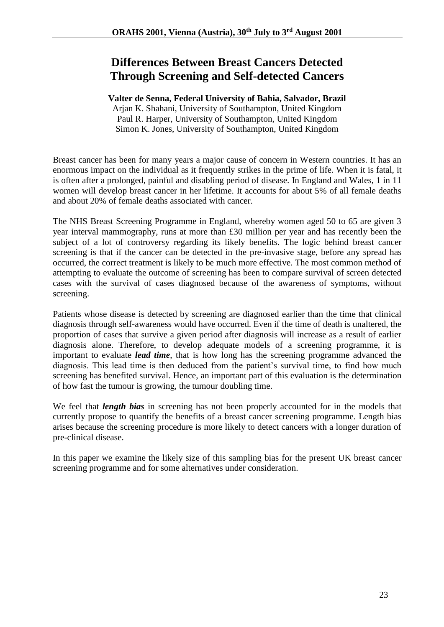## **Differences Between Breast Cancers Detected Through Screening and Self-detected Cancers**

#### **Valter de Senna, Federal University of Bahia, Salvador, Brazil**

Arjan K. Shahani, University of Southampton, United Kingdom Paul R. Harper, University of Southampton, United Kingdom Simon K. Jones, University of Southampton, United Kingdom

Breast cancer has been for many years a major cause of concern in Western countries. It has an enormous impact on the individual as it frequently strikes in the prime of life. When it is fatal, it is often after a prolonged, painful and disabling period of disease. In England and Wales, 1 in 11 women will develop breast cancer in her lifetime. It accounts for about 5% of all female deaths and about 20% of female deaths associated with cancer.

The NHS Breast Screening Programme in England, whereby women aged 50 to 65 are given 3 year interval mammography, runs at more than £30 million per year and has recently been the subject of a lot of controversy regarding its likely benefits. The logic behind breast cancer screening is that if the cancer can be detected in the pre-invasive stage, before any spread has occurred, the correct treatment is likely to be much more effective. The most common method of attempting to evaluate the outcome of screening has been to compare survival of screen detected cases with the survival of cases diagnosed because of the awareness of symptoms, without screening.

Patients whose disease is detected by screening are diagnosed earlier than the time that clinical diagnosis through self-awareness would have occurred. Even if the time of death is unaltered, the proportion of cases that survive a given period after diagnosis will increase as a result of earlier diagnosis alone. Therefore, to develop adequate models of a screening programme, it is important to evaluate *lead time*, that is how long has the screening programme advanced the diagnosis. This lead time is then deduced from the patient's survival time, to find how much screening has benefited survival. Hence, an important part of this evaluation is the determination of how fast the tumour is growing, the tumour doubling time.

We feel that *length bias* in screening has not been properly accounted for in the models that currently propose to quantify the benefits of a breast cancer screening programme. Length bias arises because the screening procedure is more likely to detect cancers with a longer duration of pre-clinical disease.

In this paper we examine the likely size of this sampling bias for the present UK breast cancer screening programme and for some alternatives under consideration.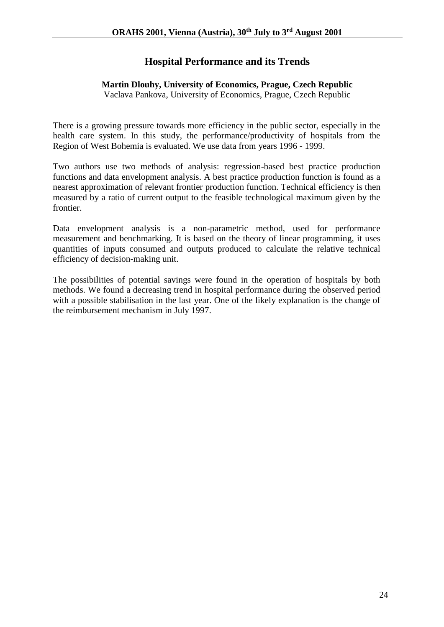### **Hospital Performance and its Trends**

#### **Martin Dlouhy, University of Economics, Prague, Czech Republic**

Vaclava Pankova, University of Economics, Prague, Czech Republic

There is a growing pressure towards more efficiency in the public sector, especially in the health care system. In this study, the performance/productivity of hospitals from the Region of West Bohemia is evaluated. We use data from years 1996 - 1999.

Two authors use two methods of analysis: regression-based best practice production functions and data envelopment analysis. A best practice production function is found as a nearest approximation of relevant frontier production function. Technical efficiency is then measured by a ratio of current output to the feasible technological maximum given by the frontier.

Data envelopment analysis is a non-parametric method, used for performance measurement and benchmarking. It is based on the theory of linear programming, it uses quantities of inputs consumed and outputs produced to calculate the relative technical efficiency of decision-making unit.

The possibilities of potential savings were found in the operation of hospitals by both methods. We found a decreasing trend in hospital performance during the observed period with a possible stabilisation in the last year. One of the likely explanation is the change of the reimbursement mechanism in July 1997.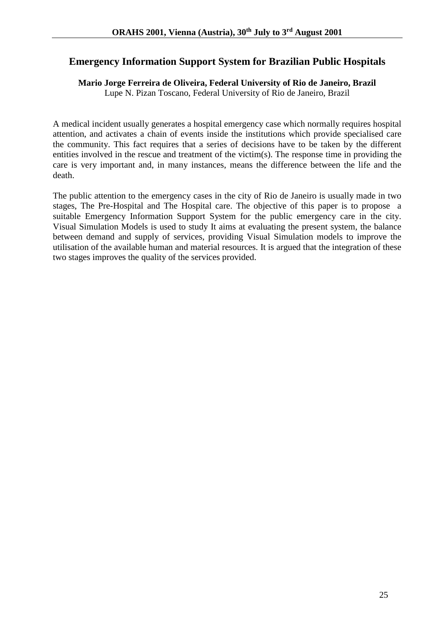### **Emergency Information Support System for Brazilian Public Hospitals**

### **Mario Jorge Ferreira de Oliveira, Federal University of Rio de Janeiro, Brazil**

Lupe N. Pizan Toscano, Federal University of Rio de Janeiro, Brazil

A medical incident usually generates a hospital emergency case which normally requires hospital attention, and activates a chain of events inside the institutions which provide specialised care the community. This fact requires that a series of decisions have to be taken by the different entities involved in the rescue and treatment of the victim(s). The response time in providing the care is very important and, in many instances, means the difference between the life and the death.

The public attention to the emergency cases in the city of Rio de Janeiro is usually made in two stages, The Pre-Hospital and The Hospital care. The objective of this paper is to propose a suitable Emergency Information Support System for the public emergency care in the city. Visual Simulation Models is used to study It aims at evaluating the present system, the balance between demand and supply of services, providing Visual Simulation models to improve the utilisation of the available human and material resources. It is argued that the integration of these two stages improves the quality of the services provided.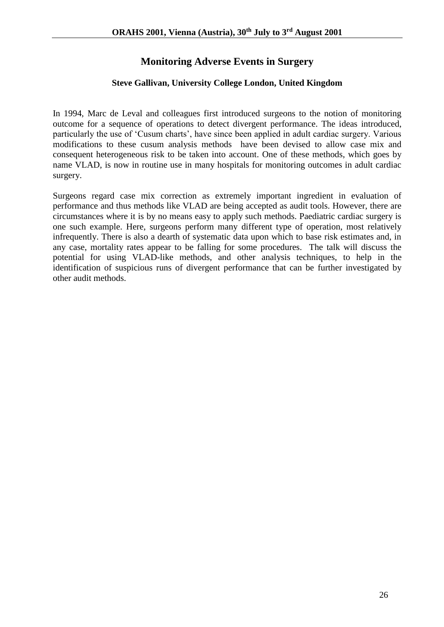## **Monitoring Adverse Events in Surgery**

#### **Steve Gallivan, University College London, United Kingdom**

In 1994, Marc de Leval and colleagues first introduced surgeons to the notion of monitoring outcome for a sequence of operations to detect divergent performance. The ideas introduced, particularly the use of 'Cusum charts', have since been applied in adult cardiac surgery. Various modifications to these cusum analysis methods have been devised to allow case mix and consequent heterogeneous risk to be taken into account. One of these methods, which goes by name VLAD, is now in routine use in many hospitals for monitoring outcomes in adult cardiac surgery.

Surgeons regard case mix correction as extremely important ingredient in evaluation of performance and thus methods like VLAD are being accepted as audit tools. However, there are circumstances where it is by no means easy to apply such methods. Paediatric cardiac surgery is one such example. Here, surgeons perform many different type of operation, most relatively infrequently. There is also a dearth of systematic data upon which to base risk estimates and, in any case, mortality rates appear to be falling for some procedures. The talk will discuss the potential for using VLAD-like methods, and other analysis techniques, to help in the identification of suspicious runs of divergent performance that can be further investigated by other audit methods.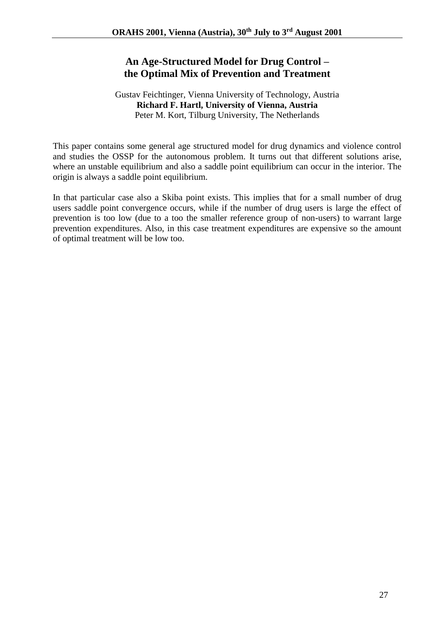## **An Age-Structured Model for Drug Control – the Optimal Mix of Prevention and Treatment**

#### Gustav Feichtinger, Vienna University of Technology, Austria **Richard F. Hartl, University of Vienna, Austria** Peter M. Kort, Tilburg University, The Netherlands

This paper contains some general age structured model for drug dynamics and violence control and studies the OSSP for the autonomous problem. It turns out that different solutions arise, where an unstable equilibrium and also a saddle point equilibrium can occur in the interior. The origin is always a saddle point equilibrium.

In that particular case also a Skiba point exists. This implies that for a small number of drug users saddle point convergence occurs, while if the number of drug users is large the effect of prevention is too low (due to a too the smaller reference group of non-users) to warrant large prevention expenditures. Also, in this case treatment expenditures are expensive so the amount of optimal treatment will be low too.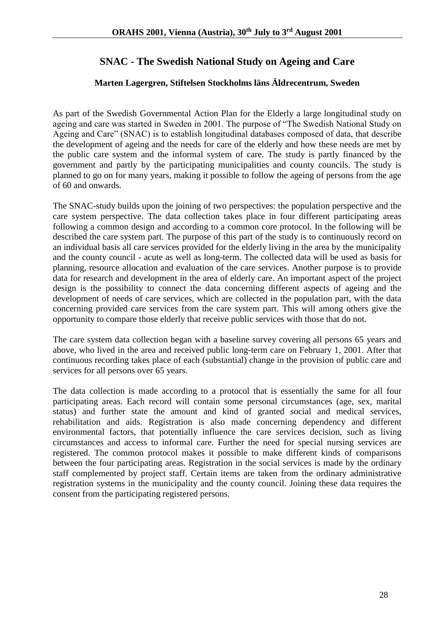## **SNAC - The Swedish National Study on Ageing and Care**

#### **Marten Lagergren, Stiftelsen Stockholms läns Äldrecentrum, Sweden**

As part of the Swedish Governmental Action Plan for the Elderly a large longitudinal study on ageing and care was started in Sweden in 2001. The purpose of "The Swedish National Study on Ageing and Care" (SNAC) is to establish longitudinal databases composed of data, that describe the development of ageing and the needs for care of the elderly and how these needs are met by the public care system and the informal system of care. The study is partly financed by the government and partly by the participating municipalities and county councils. The study is planned to go on for many years, making it possible to follow the ageing of persons from the age of 60 and onwards.

The SNAC-study builds upon the joining of two perspectives: the population perspective and the care system perspective. The data collection takes place in four different participating areas following a common design and according to a common core protocol. In the following will be described the care system part. The purpose of this part of the study is to continuously record on an individual basis all care services provided for the elderly living in the area by the municipality and the county council - acute as well as long-term. The collected data will be used as basis for planning, resource allocation and evaluation of the care services. Another purpose is to provide data for research and development in the area of elderly care. An important aspect of the project design is the possibility to connect the data concerning different aspects of ageing and the development of needs of care services, which are collected in the population part, with the data concerning provided care services from the care system part. This will among others give the opportunity to compare those elderly that receive public services with those that do not.

The care system data collection began with a baseline survey covering all persons 65 years and above, who lived in the area and received public long-term care on February 1, 2001. After that continuous recording takes place of each (substantial) change in the provision of public care and services for all persons over 65 years.

The data collection is made according to a protocol that is essentially the same for all four participating areas. Each record will contain some personal circumstances (age, sex, marital status) and further state the amount and kind of granted social and medical services, rehabilitation and aids. Registration is also made concerning dependency and different environmental factors, that potentially influence the care services decision, such as living circumstances and access to informal care. Further the need for special nursing services are registered. The common protocol makes it possible to make different kinds of comparisons between the four participating areas. Registration in the social services is made by the ordinary staff complemented by project staff. Certain items are taken from the ordinary administrative registration systems in the municipality and the county council. Joining these data requires the consent from the participating registered persons.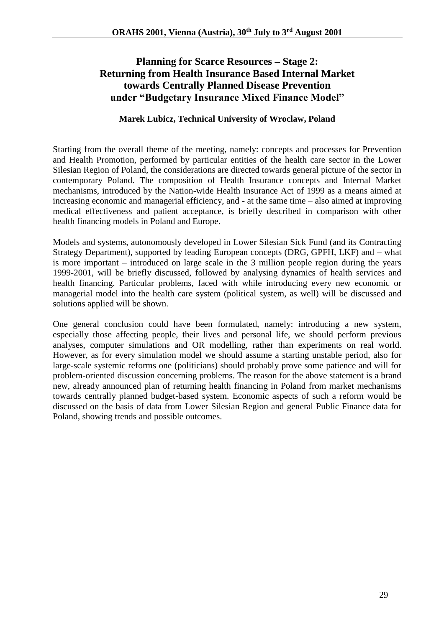## **Planning for Scarce Resources – Stage 2: Returning from Health Insurance Based Internal Market towards Centrally Planned Disease Prevention under "Budgetary Insurance Mixed Finance Model"**

#### **Marek Lubicz, Technical University of Wroclaw, Poland**

Starting from the overall theme of the meeting, namely: concepts and processes for Prevention and Health Promotion, performed by particular entities of the health care sector in the Lower Silesian Region of Poland, the considerations are directed towards general picture of the sector in contemporary Poland. The composition of Health Insurance concepts and Internal Market mechanisms, introduced by the Nation-wide Health Insurance Act of 1999 as a means aimed at increasing economic and managerial efficiency, and - at the same time – also aimed at improving medical effectiveness and patient acceptance, is briefly described in comparison with other health financing models in Poland and Europe.

Models and systems, autonomously developed in Lower Silesian Sick Fund (and its Contracting Strategy Department), supported by leading European concepts (DRG, GPFH, LKF) and – what is more important – introduced on large scale in the 3 million people region during the years 1999-2001, will be briefly discussed, followed by analysing dynamics of health services and health financing. Particular problems, faced with while introducing every new economic or managerial model into the health care system (political system, as well) will be discussed and solutions applied will be shown.

One general conclusion could have been formulated, namely: introducing a new system, especially those affecting people, their lives and personal life, we should perform previous analyses, computer simulations and OR modelling, rather than experiments on real world. However, as for every simulation model we should assume a starting unstable period, also for large-scale systemic reforms one (politicians) should probably prove some patience and will for problem-oriented discussion concerning problems. The reason for the above statement is a brand new, already announced plan of returning health financing in Poland from market mechanisms towards centrally planned budget-based system. Economic aspects of such a reform would be discussed on the basis of data from Lower Silesian Region and general Public Finance data for Poland, showing trends and possible outcomes.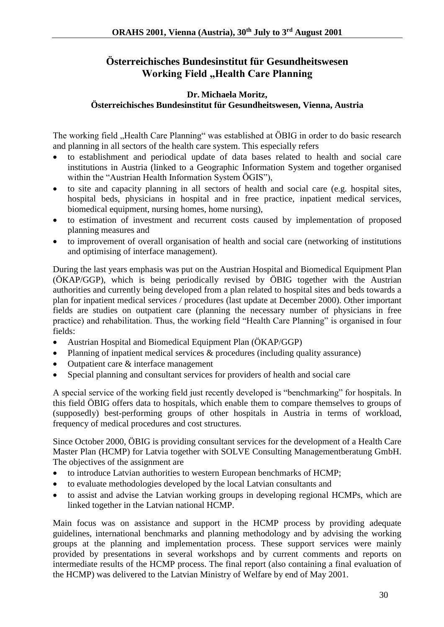## **Österreichisches Bundesinstitut für Gesundheitswesen Working Field "Health Care Planning**

#### **Dr. Michaela Moritz, Österreichisches Bundesinstitut für Gesundheitswesen, Vienna, Austria**

The working field "Health Care Planning" was established at ÖBIG in order to do basic research and planning in all sectors of the health care system. This especially refers

- to establishment and periodical update of data bases related to health and social care institutions in Austria (linked to a Geographic Information System and together organised within the "Austrian Health Information System ÖGIS"),
- to site and capacity planning in all sectors of health and social care (e.g. hospital sites, hospital beds, physicians in hospital and in free practice, inpatient medical services, biomedical equipment, nursing homes, home nursing),
- to estimation of investment and recurrent costs caused by implementation of proposed planning measures and
- to improvement of overall organisation of health and social care (networking of institutions and optimising of interface management).

During the last years emphasis was put on the Austrian Hospital and Biomedical Equipment Plan (ÖKAP/GGP), which is being periodically revised by ÖBIG together with the Austrian authorities and currently being developed from a plan related to hospital sites and beds towards a plan for inpatient medical services / procedures (last update at December 2000). Other important fields are studies on outpatient care (planning the necessary number of physicians in free practice) and rehabilitation. Thus, the working field "Health Care Planning" is organised in four fields:

- Austrian Hospital and Biomedical Equipment Plan (ÖKAP/GGP)
- Planning of inpatient medical services & procedures (including quality assurance)
- Outpatient care & interface management
- Special planning and consultant services for providers of health and social care

A special service of the working field just recently developed is "benchmarking" for hospitals. In this field ÖBIG offers data to hospitals, which enable them to compare themselves to groups of (supposedly) best-performing groups of other hospitals in Austria in terms of workload, frequency of medical procedures and cost structures.

Since October 2000, ÖBIG is providing consultant services for the development of a Health Care Master Plan (HCMP) for Latvia together with SOLVE Consulting Managementberatung GmbH. The objectives of the assignment are

- to introduce Latvian authorities to western European benchmarks of HCMP;
- to evaluate methodologies developed by the local Latvian consultants and
- to assist and advise the Latvian working groups in developing regional HCMPs, which are linked together in the Latvian national HCMP.

Main focus was on assistance and support in the HCMP process by providing adequate guidelines, international benchmarks and planning methodology and by advising the working groups at the planning and implementation process. These support services were mainly provided by presentations in several workshops and by current comments and reports on intermediate results of the HCMP process. The final report (also containing a final evaluation of the HCMP) was delivered to the Latvian Ministry of Welfare by end of May 2001.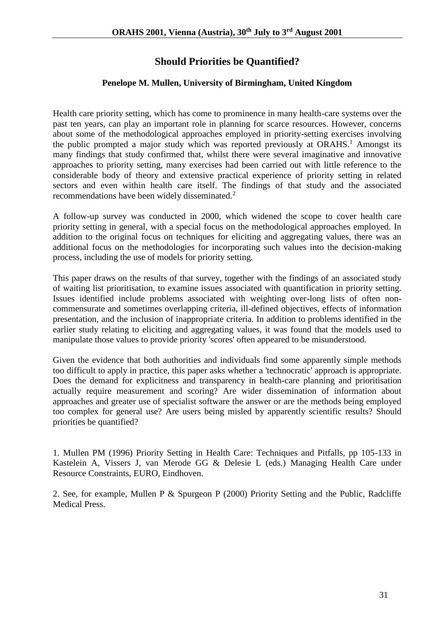## **Should Priorities be Quantified?**

#### **Penelope M. Mullen, University of Birmingham, United Kingdom**

Health care priority setting, which has come to prominence in many health-care systems over the past ten years, can play an important role in planning for scarce resources. However, concerns about some of the methodological approaches employed in priority-setting exercises involving the public prompted a major study which was reported previously at  $ORAHS<sup>1</sup>$  Amongst its many findings that study confirmed that, whilst there were several imaginative and innovative approaches to priority setting, many exercises had been carried out with little reference to the considerable body of theory and extensive practical experience of priority setting in related sectors and even within health care itself. The findings of that study and the associated recommendations have been widely disseminated.<sup>2</sup>

A follow-up survey was conducted in 2000, which widened the scope to cover health care priority setting in general, with a special focus on the methodological approaches employed. In addition to the original focus on techniques for eliciting and aggregating values, there was an additional focus on the methodologies for incorporating such values into the decision-making process, including the use of models for priority setting.

This paper draws on the results of that survey, together with the findings of an associated study of waiting list prioritisation, to examine issues associated with quantification in priority setting. Issues identified include problems associated with weighting over-long lists of often noncommensurate and sometimes overlapping criteria, ill-defined objectives, effects of information presentation, and the inclusion of inappropriate criteria. In addition to problems identified in the earlier study relating to eliciting and aggregating values, it was found that the models used to manipulate those values to provide priority 'scores' often appeared to be misunderstood.

Given the evidence that both authorities and individuals find some apparently simple methods too difficult to apply in practice, this paper asks whether a 'technocratic' approach is appropriate. Does the demand for explicitness and transparency in health-care planning and prioritisation actually require measurement and scoring? Are wider dissemination of information about approaches and greater use of specialist software the answer or are the methods being employed too complex for general use? Are users being misled by apparently scientific results? Should priorities be quantified?

1. Mullen PM (1996) Priority Setting in Health Care: Techniques and Pitfalls, pp 105-133 in Kastelein A, Vissers J, van Merode GG & Delesie L (eds.) Managing Health Care under Resource Constraints, EURO, Eindhoven.

2. See, for example, Mullen P & Spurgeon P (2000) Priority Setting and the Public, Radcliffe Medical Press.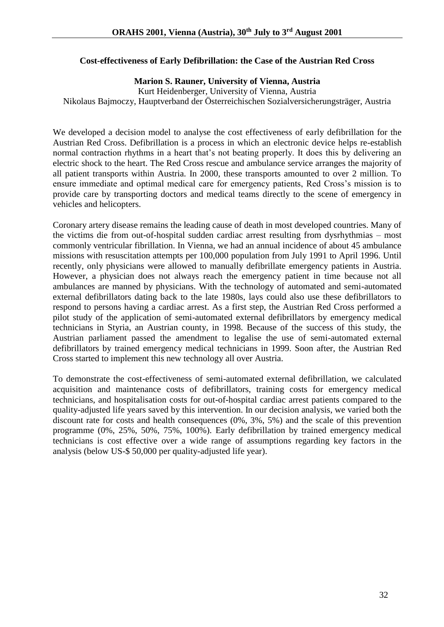#### **Cost-effectiveness of Early Defibrillation: the Case of the Austrian Red Cross**

#### **Marion S. Rauner, University of Vienna, Austria**

Kurt Heidenberger, University of Vienna, Austria Nikolaus Bajmoczy, Hauptverband der Österreichischen Sozialversicherungsträger, Austria

We developed a decision model to analyse the cost effectiveness of early defibrillation for the Austrian Red Cross. Defibrillation is a process in which an electronic device helps re-establish normal contraction rhythms in a heart that's not beating properly. It does this by delivering an electric shock to the heart. The Red Cross rescue and ambulance service arranges the majority of all patient transports within Austria. In 2000, these transports amounted to over 2 million. To ensure immediate and optimal medical care for emergency patients, Red Cross's mission is to provide care by transporting doctors and medical teams directly to the scene of emergency in vehicles and helicopters.

Coronary artery disease remains the leading cause of death in most developed countries. Many of the victims die from out-of-hospital sudden cardiac arrest resulting from dysrhythmias – most commonly ventricular fibrillation. In Vienna, we had an annual incidence of about 45 ambulance missions with resuscitation attempts per 100,000 population from July 1991 to April 1996. Until recently, only physicians were allowed to manually defibrillate emergency patients in Austria. However, a physician does not always reach the emergency patient in time because not all ambulances are manned by physicians. With the technology of automated and semi-automated external defibrillators dating back to the late 1980s, lays could also use these defibrillators to respond to persons having a cardiac arrest. As a first step, the Austrian Red Cross performed a pilot study of the application of semi-automated external defibrillators by emergency medical technicians in Styria, an Austrian county, in 1998. Because of the success of this study, the Austrian parliament passed the amendment to legalise the use of semi-automated external defibrillators by trained emergency medical technicians in 1999. Soon after, the Austrian Red Cross started to implement this new technology all over Austria.

To demonstrate the cost-effectiveness of semi-automated external defibrillation, we calculated acquisition and maintenance costs of defibrillators, training costs for emergency medical technicians, and hospitalisation costs for out-of-hospital cardiac arrest patients compared to the quality-adjusted life years saved by this intervention. In our decision analysis, we varied both the discount rate for costs and health consequences (0%, 3%, 5%) and the scale of this prevention programme (0%, 25%, 50%, 75%, 100%). Early defibrillation by trained emergency medical technicians is cost effective over a wide range of assumptions regarding key factors in the analysis (below US-\$ 50,000 per quality-adjusted life year).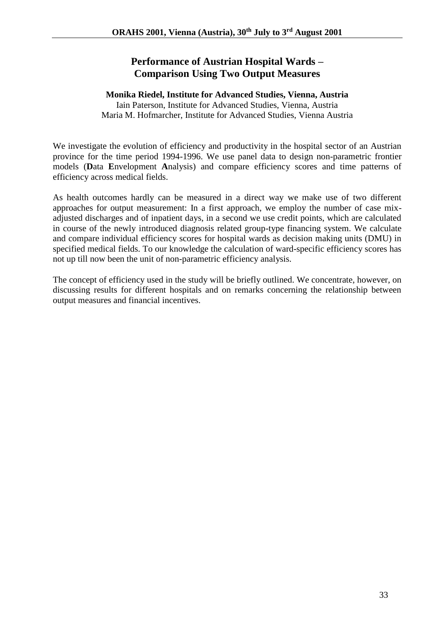## **Performance of Austrian Hospital Wards – Comparison Using Two Output Measures**

#### **Monika Riedel, Institute for Advanced Studies, Vienna, Austria**

Iain Paterson, Institute for Advanced Studies, Vienna, Austria Maria M. Hofmarcher, Institute for Advanced Studies, Vienna Austria

We investigate the evolution of efficiency and productivity in the hospital sector of an Austrian province for the time period 1994-1996. We use panel data to design non-parametric frontier models (**D**ata **E**nvelopment **A**nalysis) and compare efficiency scores and time patterns of efficiency across medical fields.

As health outcomes hardly can be measured in a direct way we make use of two different approaches for output measurement: In a first approach, we employ the number of case mixadjusted discharges and of inpatient days, in a second we use credit points, which are calculated in course of the newly introduced diagnosis related group-type financing system. We calculate and compare individual efficiency scores for hospital wards as decision making units (DMU) in specified medical fields. To our knowledge the calculation of ward-specific efficiency scores has not up till now been the unit of non-parametric efficiency analysis.

The concept of efficiency used in the study will be briefly outlined. We concentrate, however, on discussing results for different hospitals and on remarks concerning the relationship between output measures and financial incentives.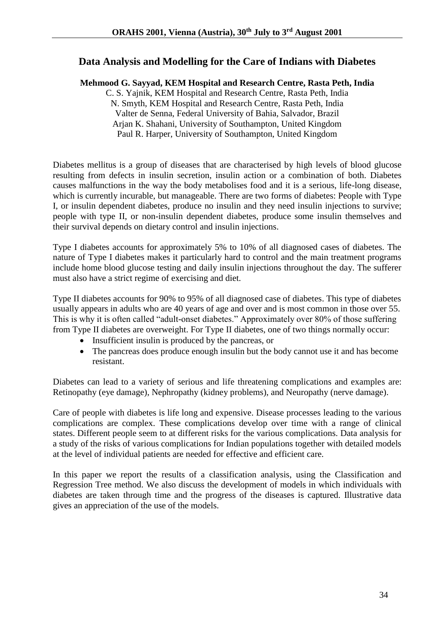#### **Data Analysis and Modelling for the Care of Indians with Diabetes**

**Mehmood G. Sayyad, KEM Hospital and Research Centre, Rasta Peth, India**

C. S. Yajnik, KEM Hospital and Research Centre, Rasta Peth, India N. Smyth, KEM Hospital and Research Centre, Rasta Peth, India Valter de Senna, Federal University of Bahia, Salvador, Brazil Arjan K. Shahani, University of Southampton, United Kingdom Paul R. Harper, University of Southampton, United Kingdom

Diabetes mellitus is a group of diseases that are characterised by high levels of blood glucose resulting from defects in insulin secretion, insulin action or a combination of both. Diabetes causes malfunctions in the way the body metabolises food and it is a serious, life-long disease, which is currently incurable, but manageable. There are two forms of diabetes: People with Type I, or insulin dependent diabetes, produce no insulin and they need insulin injections to survive; people with type II, or non-insulin dependent diabetes, produce some insulin themselves and their survival depends on dietary control and insulin injections.

Type I diabetes accounts for approximately 5% to 10% of all diagnosed cases of diabetes. The nature of Type I diabetes makes it particularly hard to control and the main treatment programs include home blood glucose testing and daily insulin injections throughout the day. The sufferer must also have a strict regime of exercising and diet.

Type II diabetes accounts for 90% to 95% of all diagnosed case of diabetes. This type of diabetes usually appears in adults who are 40 years of age and over and is most common in those over 55. This is why it is often called "adult-onset diabetes." Approximately over 80% of those suffering from Type II diabetes are overweight. For Type II diabetes, one of two things normally occur:

- Insufficient insulin is produced by the pancreas, or
- The pancreas does produce enough insulin but the body cannot use it and has become resistant.

Diabetes can lead to a variety of serious and life threatening complications and examples are: Retinopathy (eye damage), Nephropathy (kidney problems), and Neuropathy (nerve damage).

Care of people with diabetes is life long and expensive. Disease processes leading to the various complications are complex. These complications develop over time with a range of clinical states. Different people seem to at different risks for the various complications. Data analysis for a study of the risks of various complications for Indian populations together with detailed models at the level of individual patients are needed for effective and efficient care.

In this paper we report the results of a classification analysis, using the Classification and Regression Tree method. We also discuss the development of models in which individuals with diabetes are taken through time and the progress of the diseases is captured. Illustrative data gives an appreciation of the use of the models.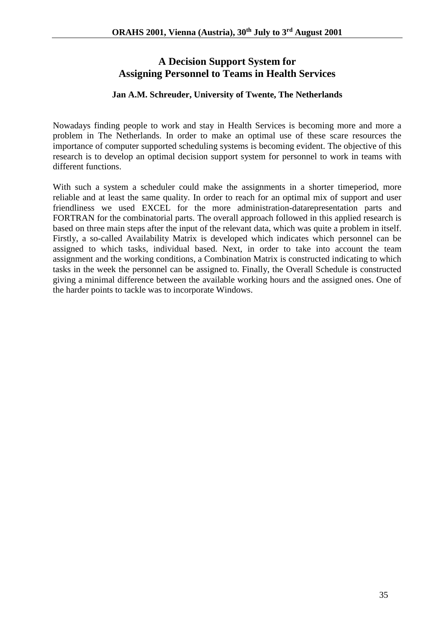## **A Decision Support System for Assigning Personnel to Teams in Health Services**

#### **Jan A.M. Schreuder, University of Twente, The Netherlands**

Nowadays finding people to work and stay in Health Services is becoming more and more a problem in The Netherlands. In order to make an optimal use of these scare resources the importance of computer supported scheduling systems is becoming evident. The objective of this research is to develop an optimal decision support system for personnel to work in teams with different functions.

With such a system a scheduler could make the assignments in a shorter timeperiod, more reliable and at least the same quality. In order to reach for an optimal mix of support and user friendliness we used EXCEL for the more administration-datarepresentation parts and FORTRAN for the combinatorial parts. The overall approach followed in this applied research is based on three main steps after the input of the relevant data, which was quite a problem in itself. Firstly, a so-called Availability Matrix is developed which indicates which personnel can be assigned to which tasks, individual based. Next, in order to take into account the team assignment and the working conditions, a Combination Matrix is constructed indicating to which tasks in the week the personnel can be assigned to. Finally, the Overall Schedule is constructed giving a minimal difference between the available working hours and the assigned ones. One of the harder points to tackle was to incorporate Windows.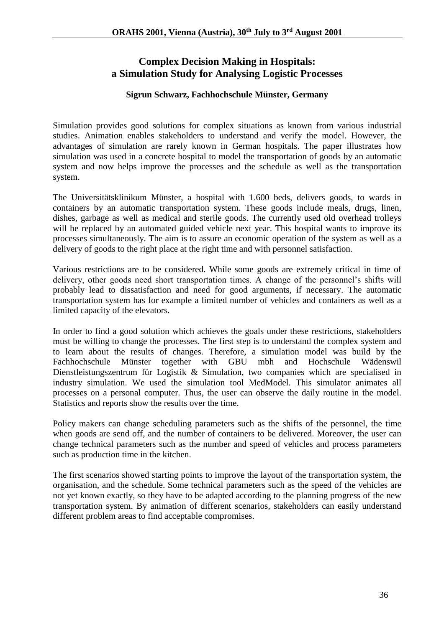## **Complex Decision Making in Hospitals: a Simulation Study for Analysing Logistic Processes**

#### **Sigrun Schwarz, Fachhochschule Münster, Germany**

Simulation provides good solutions for complex situations as known from various industrial studies. Animation enables stakeholders to understand and verify the model. However, the advantages of simulation are rarely known in German hospitals. The paper illustrates how simulation was used in a concrete hospital to model the transportation of goods by an automatic system and now helps improve the processes and the schedule as well as the transportation system.

The Universitätsklinikum Münster, a hospital with 1.600 beds, delivers goods, to wards in containers by an automatic transportation system. These goods include meals, drugs, linen, dishes, garbage as well as medical and sterile goods. The currently used old overhead trolleys will be replaced by an automated guided vehicle next year. This hospital wants to improve its processes simultaneously. The aim is to assure an economic operation of the system as well as a delivery of goods to the right place at the right time and with personnel satisfaction.

Various restrictions are to be considered. While some goods are extremely critical in time of delivery, other goods need short transportation times. A change of the personnel's shifts will probably lead to dissatisfaction and need for good arguments, if necessary. The automatic transportation system has for example a limited number of vehicles and containers as well as a limited capacity of the elevators.

In order to find a good solution which achieves the goals under these restrictions, stakeholders must be willing to change the processes. The first step is to understand the complex system and to learn about the results of changes. Therefore, a simulation model was build by the Fachhochschule Münster together with GBU mbh and Hochschule Wädenswil Dienstleistungszentrum für Logistik & Simulation, two companies which are specialised in industry simulation. We used the simulation tool MedModel. This simulator animates all processes on a personal computer. Thus, the user can observe the daily routine in the model. Statistics and reports show the results over the time.

Policy makers can change scheduling parameters such as the shifts of the personnel, the time when goods are send off, and the number of containers to be delivered. Moreover, the user can change technical parameters such as the number and speed of vehicles and process parameters such as production time in the kitchen.

The first scenarios showed starting points to improve the layout of the transportation system, the organisation, and the schedule. Some technical parameters such as the speed of the vehicles are not yet known exactly, so they have to be adapted according to the planning progress of the new transportation system. By animation of different scenarios, stakeholders can easily understand different problem areas to find acceptable compromises.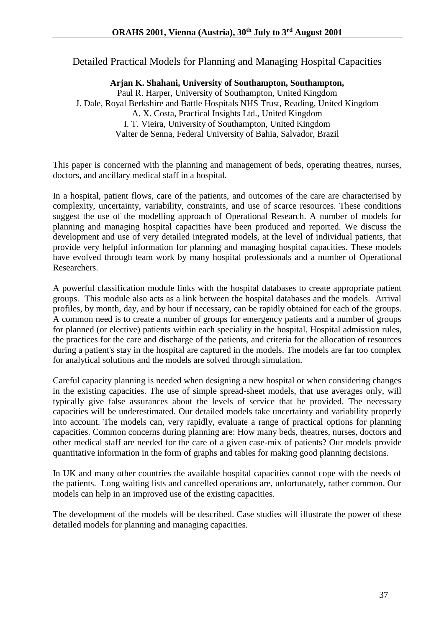Detailed Practical Models for Planning and Managing Hospital Capacities

#### **Arjan K. Shahani, University of Southampton, Southampton,**

Paul R. Harper, University of Southampton, United Kingdom J. Dale, Royal Berkshire and Battle Hospitals NHS Trust, Reading, United Kingdom A. X. Costa, Practical Insights Ltd., United Kingdom I. T. Vieira, University of Southampton, United Kingdom

Valter de Senna, Federal University of Bahia, Salvador, Brazil

This paper is concerned with the planning and management of beds, operating theatres, nurses, doctors, and ancillary medical staff in a hospital.

In a hospital, patient flows, care of the patients, and outcomes of the care are characterised by complexity, uncertainty, variability, constraints, and use of scarce resources. These conditions suggest the use of the modelling approach of Operational Research. A number of models for planning and managing hospital capacities have been produced and reported. We discuss the development and use of very detailed integrated models, at the level of individual patients, that provide very helpful information for planning and managing hospital capacities. These models have evolved through team work by many hospital professionals and a number of Operational Researchers.

A powerful classification module links with the hospital databases to create appropriate patient groups. This module also acts as a link between the hospital databases and the models. Arrival profiles, by month, day, and by hour if necessary, can be rapidly obtained for each of the groups. A common need is to create a number of groups for emergency patients and a number of groups for planned (or elective) patients within each speciality in the hospital. Hospital admission rules, the practices for the care and discharge of the patients, and criteria for the allocation of resources during a patient's stay in the hospital are captured in the models. The models are far too complex for analytical solutions and the models are solved through simulation.

Careful capacity planning is needed when designing a new hospital or when considering changes in the existing capacities. The use of simple spread-sheet models, that use averages only, will typically give false assurances about the levels of service that be provided. The necessary capacities will be underestimated. Our detailed models take uncertainty and variability properly into account. The models can, very rapidly, evaluate a range of practical options for planning capacities. Common concerns during planning are: How many beds, theatres, nurses, doctors and other medical staff are needed for the care of a given case-mix of patients? Our models provide quantitative information in the form of graphs and tables for making good planning decisions.

In UK and many other countries the available hospital capacities cannot cope with the needs of the patients. Long waiting lists and cancelled operations are, unfortunately, rather common. Our models can help in an improved use of the existing capacities.

The development of the models will be described. Case studies will illustrate the power of these detailed models for planning and managing capacities.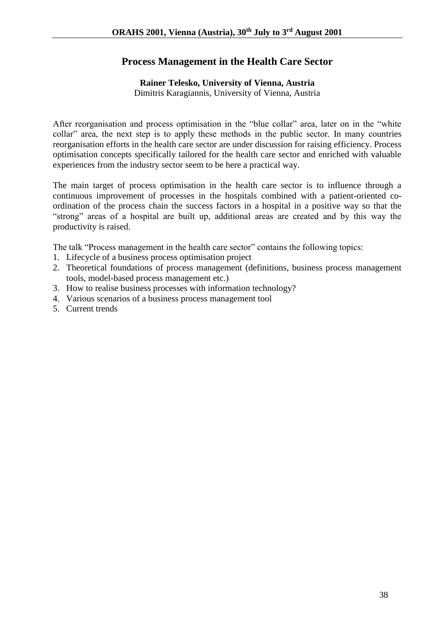### **Process Management in the Health Care Sector**

#### **Rainer Telesko, University of Vienna, Austria**

Dimitris Karagiannis, University of Vienna, Austria

After reorganisation and process optimisation in the "blue collar" area, later on in the "white collar" area, the next step is to apply these methods in the public sector. In many countries reorganisation efforts in the health care sector are under discussion for raising efficiency. Process optimisation concepts specifically tailored for the health care sector and enriched with valuable experiences from the industry sector seem to be here a practical way.

The main target of process optimisation in the health care sector is to influence through a continuous improvement of processes in the hospitals combined with a patient-oriented coordination of the process chain the success factors in a hospital in a positive way so that the "strong" areas of a hospital are built up, additional areas are created and by this way the productivity is raised.

The talk "Process management in the health care sector" contains the following topics:

- 1. Lifecycle of a business process optimisation project
- 2. Theoretical foundations of process management (definitions, business process management tools, model-based process management etc.)
- 3. How to realise business processes with information technology?
- 4. Various scenarios of a business process management tool
- 5. Current trends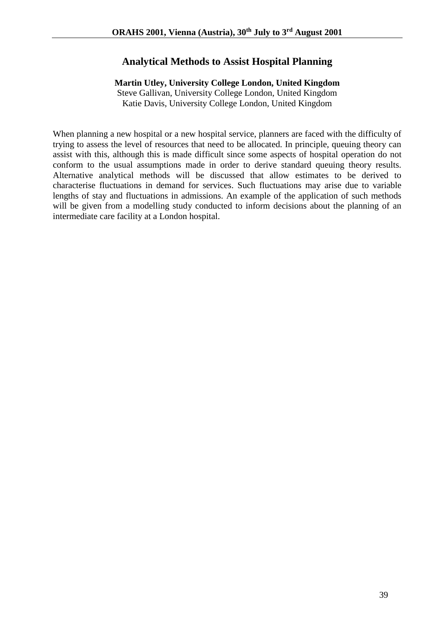### **Analytical Methods to Assist Hospital Planning**

#### **Martin Utley, University College London, United Kingdom**

Steve Gallivan, University College London, United Kingdom Katie Davis, University College London, United Kingdom

When planning a new hospital or a new hospital service, planners are faced with the difficulty of trying to assess the level of resources that need to be allocated. In principle, queuing theory can assist with this, although this is made difficult since some aspects of hospital operation do not conform to the usual assumptions made in order to derive standard queuing theory results. Alternative analytical methods will be discussed that allow estimates to be derived to characterise fluctuations in demand for services. Such fluctuations may arise due to variable lengths of stay and fluctuations in admissions. An example of the application of such methods will be given from a modelling study conducted to inform decisions about the planning of an intermediate care facility at a London hospital.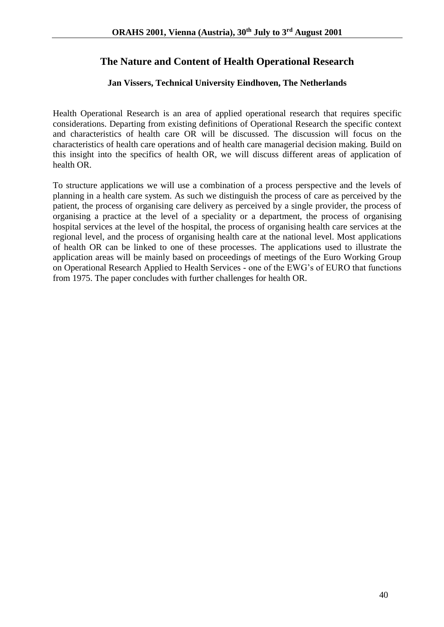## **The Nature and Content of Health Operational Research**

#### **Jan Vissers, Technical University Eindhoven, The Netherlands**

Health Operational Research is an area of applied operational research that requires specific considerations. Departing from existing definitions of Operational Research the specific context and characteristics of health care OR will be discussed. The discussion will focus on the characteristics of health care operations and of health care managerial decision making. Build on this insight into the specifics of health OR, we will discuss different areas of application of health OR.

To structure applications we will use a combination of a process perspective and the levels of planning in a health care system. As such we distinguish the process of care as perceived by the patient, the process of organising care delivery as perceived by a single provider, the process of organising a practice at the level of a speciality or a department, the process of organising hospital services at the level of the hospital, the process of organising health care services at the regional level, and the process of organising health care at the national level. Most applications of health OR can be linked to one of these processes. The applications used to illustrate the application areas will be mainly based on proceedings of meetings of the Euro Working Group on Operational Research Applied to Health Services - one of the EWG's of EURO that functions from 1975. The paper concludes with further challenges for health OR.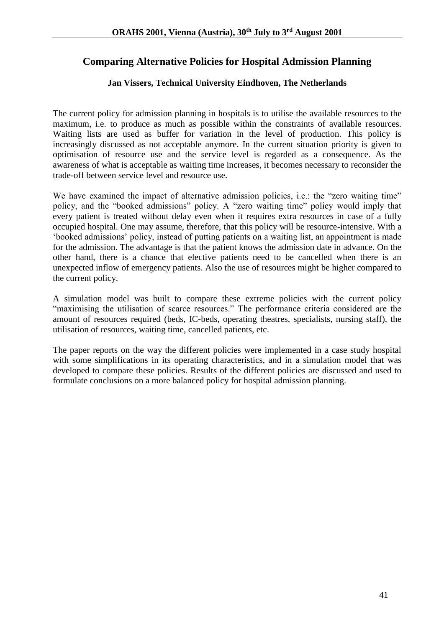## **Comparing Alternative Policies for Hospital Admission Planning**

#### **Jan Vissers, Technical University Eindhoven, The Netherlands**

The current policy for admission planning in hospitals is to utilise the available resources to the maximum, i.e. to produce as much as possible within the constraints of available resources. Waiting lists are used as buffer for variation in the level of production. This policy is increasingly discussed as not acceptable anymore. In the current situation priority is given to optimisation of resource use and the service level is regarded as a consequence. As the awareness of what is acceptable as waiting time increases, it becomes necessary to reconsider the trade-off between service level and resource use.

We have examined the impact of alternative admission policies, *i.e.*: the "zero waiting time" policy, and the "booked admissions" policy. A "zero waiting time" policy would imply that every patient is treated without delay even when it requires extra resources in case of a fully occupied hospital. One may assume, therefore, that this policy will be resource-intensive. With a 'booked admissions' policy, instead of putting patients on a waiting list, an appointment is made for the admission. The advantage is that the patient knows the admission date in advance. On the other hand, there is a chance that elective patients need to be cancelled when there is an unexpected inflow of emergency patients. Also the use of resources might be higher compared to the current policy.

A simulation model was built to compare these extreme policies with the current policy "maximising the utilisation of scarce resources." The performance criteria considered are the amount of resources required (beds, IC-beds, operating theatres, specialists, nursing staff), the utilisation of resources, waiting time, cancelled patients, etc.

The paper reports on the way the different policies were implemented in a case study hospital with some simplifications in its operating characteristics, and in a simulation model that was developed to compare these policies. Results of the different policies are discussed and used to formulate conclusions on a more balanced policy for hospital admission planning.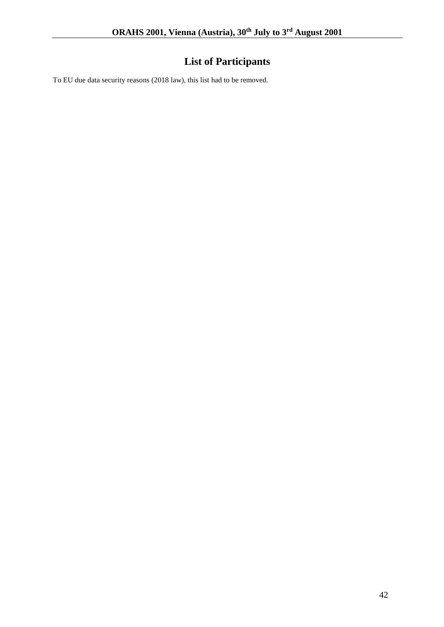## **List of Participants**

To EU due data security reasons (2018 law), this list had to be removed.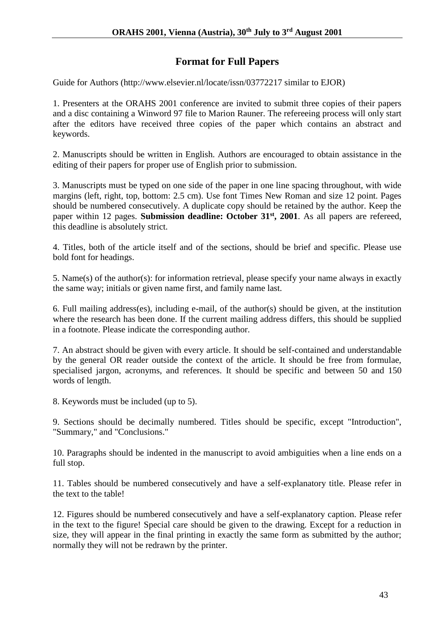## **Format for Full Papers**

Guide for Authors (http://www.elsevier.nl/locate/issn/03772217 similar to EJOR)

1. Presenters at the ORAHS 2001 conference are invited to submit three copies of their papers and a disc containing a Winword 97 file to Marion Rauner. The refereeing process will only start after the editors have received three copies of the paper which contains an abstract and keywords.

2. Manuscripts should be written in English. Authors are encouraged to obtain assistance in the editing of their papers for proper use of English prior to submission.

3. Manuscripts must be typed on one side of the paper in one line spacing throughout, with wide margins (left, right, top, bottom: 2.5 cm). Use font Times New Roman and size 12 point. Pages should be numbered consecutively. A duplicate copy should be retained by the author. Keep the paper within 12 pages. **Submission deadline: October 31st, 2001**. As all papers are refereed, this deadline is absolutely strict.

4. Titles, both of the article itself and of the sections, should be brief and specific. Please use bold font for headings.

5. Name(s) of the author(s): for information retrieval, please specify your name always in exactly the same way; initials or given name first, and family name last.

6. Full mailing address(es), including e-mail, of the author(s) should be given, at the institution where the research has been done. If the current mailing address differs, this should be supplied in a footnote. Please indicate the corresponding author.

7. An abstract should be given with every article. It should be self-contained and understandable by the general OR reader outside the context of the article. It should be free from formulae, specialised jargon, acronyms, and references. It should be specific and between 50 and 150 words of length.

8. Keywords must be included (up to 5).

9. Sections should be decimally numbered. Titles should be specific, except "Introduction", "Summary," and "Conclusions."

10. Paragraphs should be indented in the manuscript to avoid ambiguities when a line ends on a full stop.

11. Tables should be numbered consecutively and have a self-explanatory title. Please refer in the text to the table!

12. Figures should be numbered consecutively and have a self-explanatory caption. Please refer in the text to the figure! Special care should be given to the drawing. Except for a reduction in size, they will appear in the final printing in exactly the same form as submitted by the author; normally they will not be redrawn by the printer.